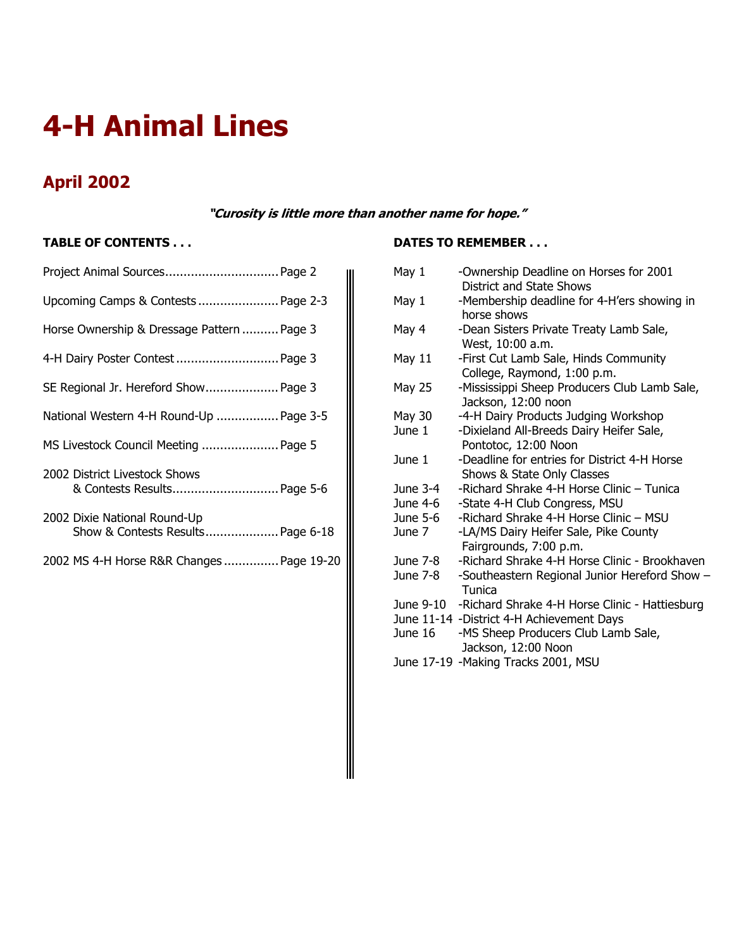# **4-H Animal Lines**

# **April 2002**

**"Curosity is little more than another name for hope."** 

# **TABLE OF CONTENTS . . .**

| Project Animal Sources Page 2                                     |  |
|-------------------------------------------------------------------|--|
| Upcoming Camps & Contests  Page 2-3                               |  |
| Horse Ownership & Dressage Pattern  Page 3                        |  |
|                                                                   |  |
| SE Regional Jr. Hereford Show Page 3                              |  |
| National Western 4-H Round-Up  Page 3-5                           |  |
| MS Livestock Council Meeting  Page 5                              |  |
| 2002 District Livestock Shows<br>& Contests Results Page 5-6      |  |
| 2002 Dixie National Round-Up<br>Show & Contests Results Page 6-18 |  |

2002 MS 4-H Horse R&R Changes ............... Page 19-20

# **DATES TO REMEMBER . . .**

| May 1      | -Ownership Deadline on Horses for 2001<br>District and State Shows   |
|------------|----------------------------------------------------------------------|
| May 1      | -Membership deadline for 4-H'ers showing in<br>horse shows           |
| May 4      | -Dean Sisters Private Treaty Lamb Sale,<br>West, 10:00 a.m.          |
| May 11     | -First Cut Lamb Sale, Hinds Community<br>College, Raymond, 1:00 p.m. |
| May 25     | -Mississippi Sheep Producers Club Lamb Sale,<br>Jackson, 12:00 noon  |
| May 30     | -4-H Dairy Products Judging Workshop                                 |
| June 1     | -Dixieland All-Breeds Dairy Heifer Sale,                             |
|            | Pontotoc, 12:00 Noon                                                 |
| June $1$   | -Deadline for entries for District 4-H Horse                         |
|            | Shows & State Only Classes                                           |
| June $3-4$ | -Richard Shrake 4-H Horse Clinic - Tunica                            |
| June 4-6   | -State 4-H Club Congress, MSU                                        |
| June 5-6   | -Richard Shrake 4-H Horse Clinic - MSU                               |
| June 7     | -LA/MS Dairy Heifer Sale, Pike County                                |
|            | Fairgrounds, 7:00 p.m.                                               |
| June 7-8   | -Richard Shrake 4-H Horse Clinic - Brookhaven                        |
| June 7-8   | -Southeastern Regional Junior Hereford Show -<br>Tunica              |
|            | June 9-10 -Richard Shrake 4-H Horse Clinic - Hattiesburg             |
|            | June 11-14 -District 4-H Achievement Days                            |
| June 16    | -MS Sheep Producers Club Lamb Sale,<br>Jackson, 12:00 Noon           |
|            | June 17-19 -Making Tracks 2001, MSU                                  |
|            |                                                                      |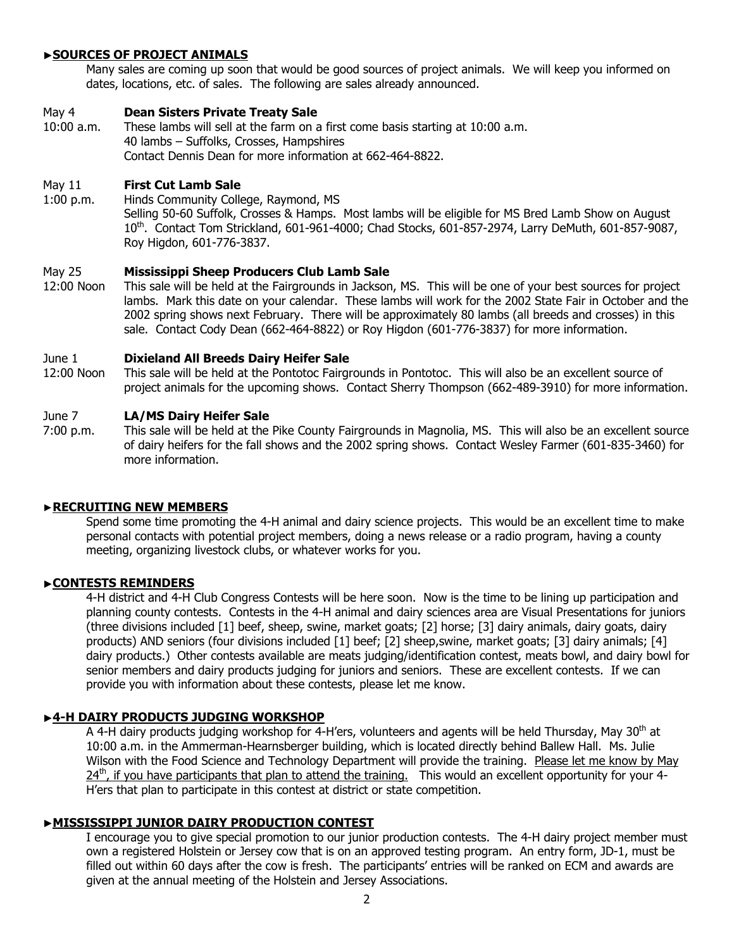### ▶**SOURCES OF PROJECT ANIMALS**

Many sales are coming up soon that would be good sources of project animals. We will keep you informed on dates, locations, etc. of sales. The following are sales already announced.

### May 4 **Dean Sisters Private Treaty Sale**

10:00 a.m. These lambs will sell at the farm on a first come basis starting at 10:00 a.m. 40 lambs – Suffolks, Crosses, Hampshires Contact Dennis Dean for more information at 662-464-8822.

# May 11 **First Cut Lamb Sale**

1:00 p.m. Hinds Community College, Raymond, MS Selling 50-60 Suffolk, Crosses & Hamps. Most lambs will be eligible for MS Bred Lamb Show on August 10th. Contact Tom Strickland, 601-961-4000; Chad Stocks, 601-857-2974, Larry DeMuth, 601-857-9087, Roy Higdon, 601-776-3837.

### May 25 **Mississippi Sheep Producers Club Lamb Sale**

12:00 Noon This sale will be held at the Fairgrounds in Jackson, MS. This will be one of your best sources for project lambs. Mark this date on your calendar. These lambs will work for the 2002 State Fair in October and the 2002 spring shows next February. There will be approximately 80 lambs (all breeds and crosses) in this sale. Contact Cody Dean (662-464-8822) or Roy Higdon (601-776-3837) for more information.

### June 1 **Dixieland All Breeds Dairy Heifer Sale**

12:00 Noon This sale will be held at the Pontotoc Fairgrounds in Pontotoc. This will also be an excellent source of project animals for the upcoming shows. Contact Sherry Thompson (662-489-3910) for more information.

### June 7 **LA/MS Dairy Heifer Sale**

7:00 p.m. This sale will be held at the Pike County Fairgrounds in Magnolia, MS. This will also be an excellent source of dairy heifers for the fall shows and the 2002 spring shows. Contact Wesley Farmer (601-835-3460) for more information.

### ▶**RECRUITING NEW MEMBERS**

Spend some time promoting the 4-H animal and dairy science projects. This would be an excellent time to make personal contacts with potential project members, doing a news release or a radio program, having a county meeting, organizing livestock clubs, or whatever works for you.

### ▶**CONTESTS REMINDERS**

4-H district and 4-H Club Congress Contests will be here soon. Now is the time to be lining up participation and planning county contests. Contests in the 4-H animal and dairy sciences area are Visual Presentations for juniors (three divisions included [1] beef, sheep, swine, market goats; [2] horse; [3] dairy animals, dairy goats, dairy products) AND seniors (four divisions included [1] beef; [2] sheep,swine, market goats; [3] dairy animals; [4] dairy products.) Other contests available are meats judging/identification contest, meats bowl, and dairy bowl for senior members and dairy products judging for juniors and seniors. These are excellent contests. If we can provide you with information about these contests, please let me know.

### ▶**4-H DAIRY PRODUCTS JUDGING WORKSHOP**

A 4-H dairy products judging workshop for 4-H'ers, volunteers and agents will be held Thursday, May 30<sup>th</sup> at 10:00 a.m. in the Ammerman-Hearnsberger building, which is located directly behind Ballew Hall. Ms. Julie Wilson with the Food Science and Technology Department will provide the training. Please let me know by May  $24<sup>th</sup>$ , if you have participants that plan to attend the training. This would an excellent opportunity for your 4-H'ers that plan to participate in this contest at district or state competition.

### ▶**MISSISSIPPI JUNIOR DAIRY PRODUCTION CONTEST**

I encourage you to give special promotion to our junior production contests. The 4-H dairy project member must own a registered Holstein or Jersey cow that is on an approved testing program. An entry form, JD-1, must be filled out within 60 days after the cow is fresh. The participants' entries will be ranked on ECM and awards are given at the annual meeting of the Holstein and Jersey Associations.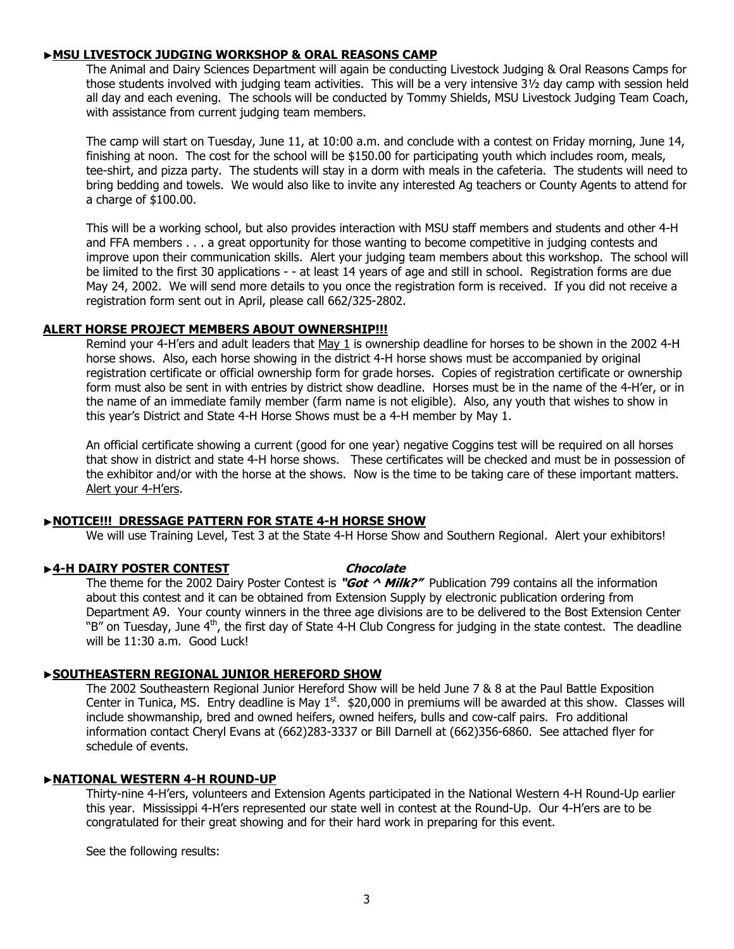## ▶**MSU LIVESTOCK JUDGING WORKSHOP & ORAL REASONS CAMP**

The Animal and Dairy Sciences Department will again be conducting Livestock Judging & Oral Reasons Camps for those students involved with judging team activities. This will be a very intensive 3½ day camp with session held all day and each evening. The schools will be conducted by Tommy Shields, MSU Livestock Judging Team Coach, with assistance from current judging team members.

The camp will start on Tuesday, June 11, at 10:00 a.m. and conclude with a contest on Friday morning, June 14, finishing at noon. The cost for the school will be \$150.00 for participating youth which includes room, meals, tee-shirt, and pizza party. The students will stay in a dorm with meals in the cafeteria. The students will need to bring bedding and towels. We would also like to invite any interested Ag teachers or County Agents to attend for a charge of \$100.00.

This will be a working school, but also provides interaction with MSU staff members and students and other 4-H and FFA members . . . a great opportunity for those wanting to become competitive in judging contests and improve upon their communication skills. Alert your judging team members about this workshop. The school will be limited to the first 30 applications - - at least 14 years of age and still in school. Registration forms are due May 24, 2002. We will send more details to you once the registration form is received. If you did not receive a registration form sent out in April, please call 662/325-2802.

### **ALERT HORSE PROJECT MEMBERS ABOUT OWNERSHIP!!!**

 Remind your 4-H'ers and adult leaders that May 1 is ownership deadline for horses to be shown in the 2002 4-H horse shows. Also, each horse showing in the district 4-H horse shows must be accompanied by original registration certificate or official ownership form for grade horses. Copies of registration certificate or ownership form must also be sent in with entries by district show deadline. Horses must be in the name of the 4-H'er, or in the name of an immediate family member (farm name is not eligible). Also, any youth that wishes to show in this year's District and State 4-H Horse Shows must be a 4-H member by May 1.

An official certificate showing a current (good for one year) negative Coggins test will be required on all horses that show in district and state 4-H horse shows. These certificates will be checked and must be in possession of the exhibitor and/or with the horse at the shows. Now is the time to be taking care of these important matters. Alert your 4-H'ers.

### ▶**NOTICE!!! DRESSAGE PATTERN FOR STATE 4-H HORSE SHOW**

We will use Training Level, Test 3 at the State 4-H Horse Show and Southern Regional. Alert your exhibitors!

### ▶ 4-H DAIRY POSTER CONTEST **Chocolate**

The theme for the 2002 Dairy Poster Contest is **"Got ^ Milk?"** Publication 799 contains all the information about this contest and it can be obtained from Extension Supply by electronic publication ordering from Department A9. Your county winners in the three age divisions are to be delivered to the Bost Extension Center "B" on Tuesday, June 4<sup>th</sup>, the first day of State 4-H Club Congress for judging in the state contest. The deadline will be 11:30 a.m. Good Luck!

# ▶**SOUTHEASTERN REGIONAL JUNIOR HEREFORD SHOW**

The 2002 Southeastern Regional Junior Hereford Show will be held June 7 & 8 at the Paul Battle Exposition Center in Tunica, MS. Entry deadline is May  $1<sup>st</sup>$ . \$20,000 in premiums will be awarded at this show. Classes will include showmanship, bred and owned heifers, owned heifers, bulls and cow-calf pairs. Fro additional information contact Cheryl Evans at (662)283-3337 or Bill Darnell at (662)356-6860. See attached flyer for schedule of events.

### ▶**NATIONAL WESTERN 4-H ROUND-UP**

Thirty-nine 4-H'ers, volunteers and Extension Agents participated in the National Western 4-H Round-Up earlier this year. Mississippi 4-H'ers represented our state well in contest at the Round-Up. Our 4-H'ers are to be congratulated for their great showing and for their hard work in preparing for this event.

See the following results: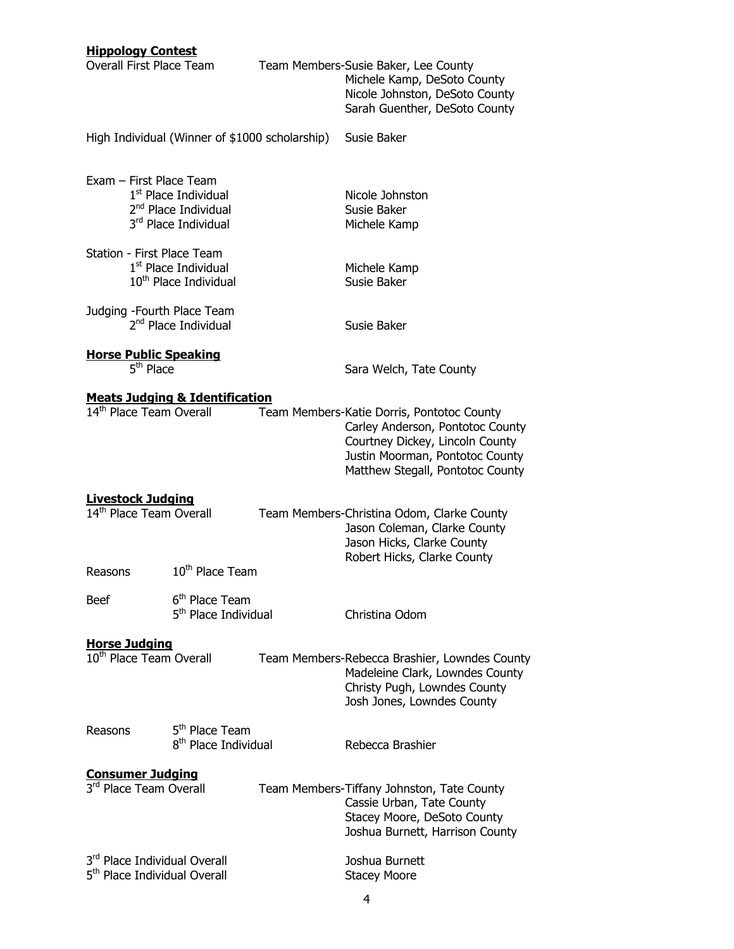| <b>Hippology Contest</b><br><b>Overall First Place Team</b>              |                                                                                              | Team Members-Susie Baker, Lee County<br>Michele Kamp, DeSoto County<br>Nicole Johnston, DeSoto County<br>Sarah Guenther, DeSoto County                                                   |
|--------------------------------------------------------------------------|----------------------------------------------------------------------------------------------|------------------------------------------------------------------------------------------------------------------------------------------------------------------------------------------|
|                                                                          | High Individual (Winner of \$1000 scholarship)                                               | Susie Baker                                                                                                                                                                              |
| Exam - First Place Team                                                  | 1 <sup>st</sup> Place Individual<br>2 <sup>nd</sup> Place Individual<br>3rd Place Individual | Nicole Johnston<br>Susie Baker<br>Michele Kamp                                                                                                                                           |
| Station - First Place Team                                               | 1 <sup>st</sup> Place Individual<br>$10th$ Place Individual                                  | Michele Kamp<br>Susie Baker                                                                                                                                                              |
| Judging - Fourth Place Team                                              | 2 <sup>nd</sup> Place Individual                                                             | Susie Baker                                                                                                                                                                              |
| <b>Horse Public Speaking</b><br>$\overline{5}$ <sup>th</sup> Place       |                                                                                              | Sara Welch, Tate County                                                                                                                                                                  |
| 14 <sup>th</sup> Place Team Overall                                      | <b>Meats Judging &amp; Identification</b>                                                    | Team Members-Katie Dorris, Pontotoc County<br>Carley Anderson, Pontotoc County<br>Courtney Dickey, Lincoln County<br>Justin Moorman, Pontotoc County<br>Matthew Stegall, Pontotoc County |
| <b>Livestock Judging</b><br>$14th$ Place Team Overall                    |                                                                                              | Team Members-Christina Odom, Clarke County<br>Jason Coleman, Clarke County<br>Jason Hicks, Clarke County<br>Robert Hicks, Clarke County                                                  |
| Reasons                                                                  | 10 <sup>th</sup> Place Team                                                                  |                                                                                                                                                                                          |
| <b>Beef</b>                                                              | 6 <sup>th</sup> Place Team<br>5 <sup>th</sup> Place Individual                               | Christina Odom                                                                                                                                                                           |
| <b>Horse Judging</b><br>10 <sup>th</sup> Place Team Overall              |                                                                                              | Team Members-Rebecca Brashier, Lowndes County<br>Madeleine Clark, Lowndes County<br>Christy Pugh, Lowndes County<br>Josh Jones, Lowndes County                                           |
| Reasons                                                                  | 5 <sup>th</sup> Place Team<br>8 <sup>th</sup> Place Individual                               | Rebecca Brashier                                                                                                                                                                         |
| <b>Consumer Judging</b><br>3rd Place Team Overall                        |                                                                                              | Team Members-Tiffany Johnston, Tate County<br>Cassie Urban, Tate County<br>Stacey Moore, DeSoto County<br>Joshua Burnett, Harrison County                                                |
| 3rd Place Individual Overall<br>5 <sup>th</sup> Place Individual Overall |                                                                                              | Joshua Burnett<br><b>Stacey Moore</b>                                                                                                                                                    |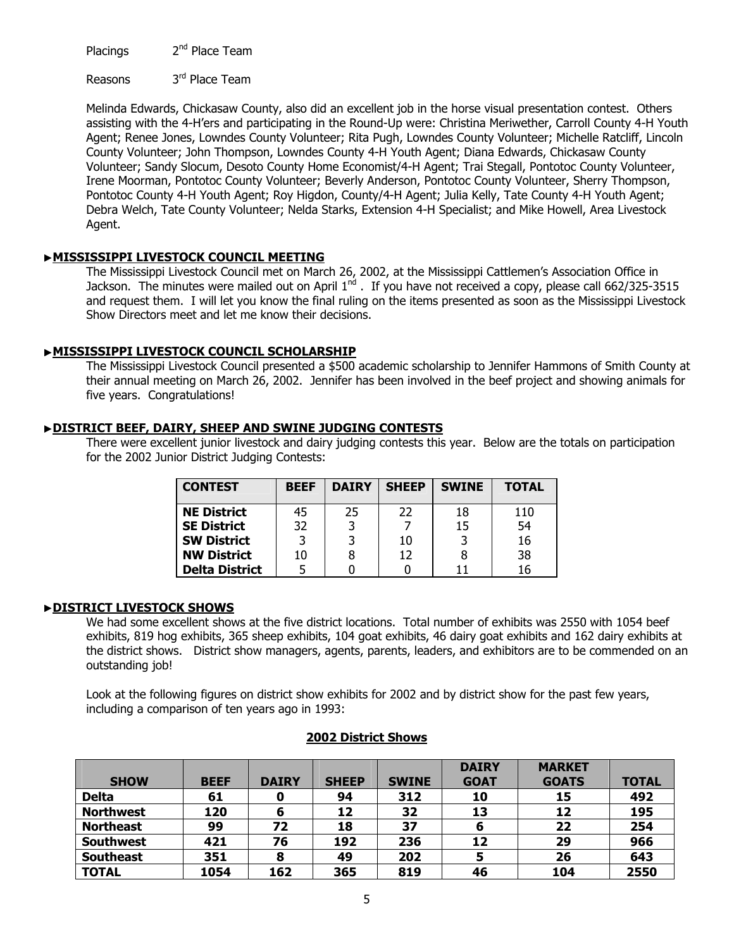Placings 2<sup>nd</sup> Place Team

Reasons 3<sup>rd</sup> Place Team

Melinda Edwards, Chickasaw County, also did an excellent job in the horse visual presentation contest. Others assisting with the 4-H'ers and participating in the Round-Up were: Christina Meriwether, Carroll County 4-H Youth Agent; Renee Jones, Lowndes County Volunteer; Rita Pugh, Lowndes County Volunteer; Michelle Ratcliff, Lincoln County Volunteer; John Thompson, Lowndes County 4-H Youth Agent; Diana Edwards, Chickasaw County Volunteer; Sandy Slocum, Desoto County Home Economist/4-H Agent; Trai Stegall, Pontotoc County Volunteer, Irene Moorman, Pontotoc County Volunteer; Beverly Anderson, Pontotoc County Volunteer, Sherry Thompson, Pontotoc County 4-H Youth Agent; Roy Higdon, County/4-H Agent; Julia Kelly, Tate County 4-H Youth Agent; Debra Welch, Tate County Volunteer; Nelda Starks, Extension 4-H Specialist; and Mike Howell, Area Livestock Agent.

# ▶**MISSISSIPPI LIVESTOCK COUNCIL MEETING**

The Mississippi Livestock Council met on March 26, 2002, at the Mississippi Cattlemen's Association Office in Jackson. The minutes were mailed out on April 1nd . If you have not received a copy, please call 662/325-3515 and request them. I will let you know the final ruling on the items presented as soon as the Mississippi Livestock Show Directors meet and let me know their decisions.

# ▶**MISSISSIPPI LIVESTOCK COUNCIL SCHOLARSHIP**

The Mississippi Livestock Council presented a \$500 academic scholarship to Jennifer Hammons of Smith County at their annual meeting on March 26, 2002. Jennifer has been involved in the beef project and showing animals for five years. Congratulations!

# ▶**DISTRICT BEEF, DAIRY, SHEEP AND SWINE JUDGING CONTESTS**

There were excellent junior livestock and dairy judging contests this year. Below are the totals on participation for the 2002 Junior District Judging Contests:

| <b>CONTEST</b>        | <b>BEEF</b> | <b>DAIRY</b> | <b>SHEEP</b> | <b>SWINE</b> | <b>TOTAL</b> |
|-----------------------|-------------|--------------|--------------|--------------|--------------|
| <b>NE District</b>    | 45          | 25           | 22           | 18           | 110          |
| <b>SE District</b>    | 32          | 3            |              | 15           | 54           |
| <b>SW District</b>    | 3           | 3            | 10           | 3            | 16           |
| <b>NW District</b>    | 10          | 8            | 12           | 8            | 38           |
| <b>Delta District</b> |             |              |              |              | 16           |

# ▶**DISTRICT LIVESTOCK SHOWS**

We had some excellent shows at the five district locations. Total number of exhibits was 2550 with 1054 beef exhibits, 819 hog exhibits, 365 sheep exhibits, 104 goat exhibits, 46 dairy goat exhibits and 162 dairy exhibits at the district shows. District show managers, agents, parents, leaders, and exhibitors are to be commended on an outstanding job!

Look at the following figures on district show exhibits for 2002 and by district show for the past few years, including a comparison of ten years ago in 1993:

| <b>SHOW</b>      | <b>BEEF</b> | <b>DAIRY</b> | <b>SHEEP</b> | <b>SWINE</b> | <b>DAIRY</b><br><b>GOAT</b> | <b>MARKET</b><br><b>GOATS</b> | <b>TOTAL</b> |
|------------------|-------------|--------------|--------------|--------------|-----------------------------|-------------------------------|--------------|
| <b>Delta</b>     | 61          |              | 94           | 312          | 10                          | 15                            | 492          |
| <b>Northwest</b> | 120         | 6            | 12           | 32           | 13                          | 12                            | 195          |
| <b>Northeast</b> | 99          | 72           | 18           | 37           | 6                           | 22                            | 254          |
| <b>Southwest</b> | 421         | 76           | 192          | 236          | 12                          | 29                            | 966          |
| <b>Southeast</b> | 351         | 8            | 49           | 202          |                             | 26                            | 643          |
| <b>TOTAL</b>     | 1054        | 162          | 365          | 819          | 46                          | 104                           | 2550         |

# **2002 District Shows**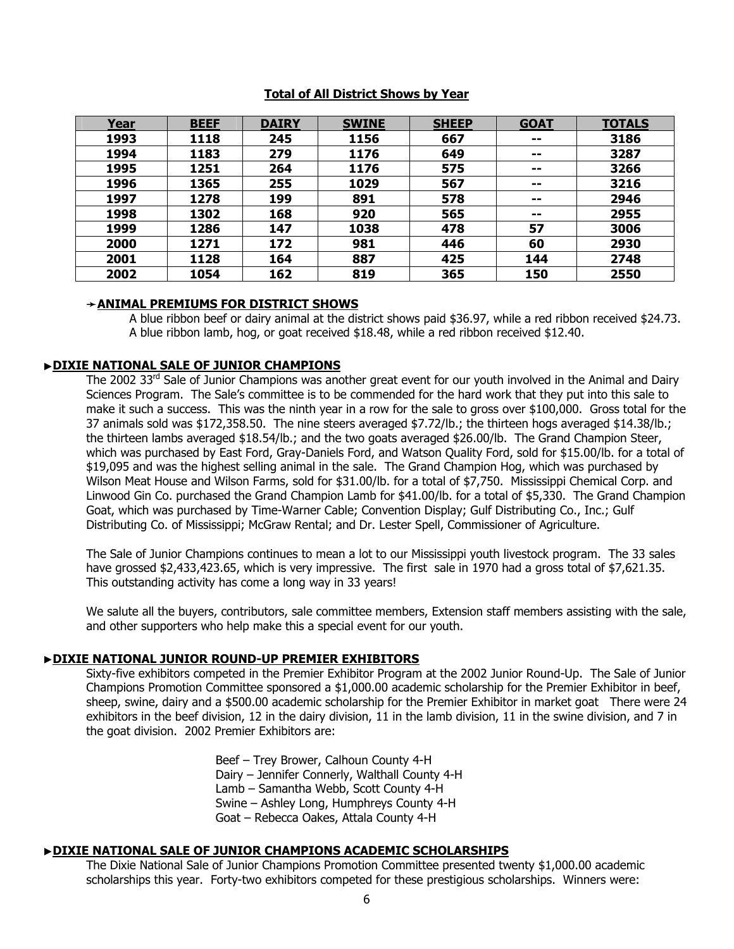### **Total of All District Shows by Year**

| Year | <b>BEEF</b> | <b>DAIRY</b> | <b>SWINE</b> | <b>SHEEP</b> | <b>GOAT</b> | <b>TOTALS</b> |
|------|-------------|--------------|--------------|--------------|-------------|---------------|
| 1993 | 1118        | 245          | 1156         | 667          | $- -$       | 3186          |
| 1994 | 1183        | 279          | 1176         | 649          | $- -$       | 3287          |
| 1995 | 1251        | 264          | 1176         | 575          | $- -$       | 3266          |
| 1996 | 1365        | 255          | 1029         | 567          | $- -$       | 3216          |
| 1997 | 1278        | 199          | 891          | 578          | --          | 2946          |
| 1998 | 1302        | 168          | 920          | 565          | --          | 2955          |
| 1999 | 1286        | 147          | 1038         | 478          | 57          | 3006          |
| 2000 | 1271        | 172          | 981          | 446          | 60          | 2930          |
| 2001 | 1128        | 164          | 887          | 425          | 144         | 2748          |
| 2002 | 1054        | 162          | 819          | 365          | 150         | 2550          |

### ➛**ANIMAL PREMIUMS FOR DISTRICT SHOWS**

A blue ribbon beef or dairy animal at the district shows paid \$36.97, while a red ribbon received \$24.73. A blue ribbon lamb, hog, or goat received \$18.48, while a red ribbon received \$12.40.

# ▶**DIXIE NATIONAL SALE OF JUNIOR CHAMPIONS**

The 2002  $33<sup>rd</sup>$  Sale of Junior Champions was another great event for our youth involved in the Animal and Dairy Sciences Program. The Sale's committee is to be commended for the hard work that they put into this sale to make it such a success. This was the ninth year in a row for the sale to gross over \$100,000. Gross total for the 37 animals sold was \$172,358.50. The nine steers averaged \$7.72/lb.; the thirteen hogs averaged \$14.38/lb.; the thirteen lambs averaged \$18.54/lb.; and the two goats averaged \$26.00/lb. The Grand Champion Steer, which was purchased by East Ford, Gray-Daniels Ford, and Watson Quality Ford, sold for \$15.00/lb. for a total of \$19,095 and was the highest selling animal in the sale. The Grand Champion Hog, which was purchased by Wilson Meat House and Wilson Farms, sold for \$31.00/lb. for a total of \$7,750. Mississippi Chemical Corp. and Linwood Gin Co. purchased the Grand Champion Lamb for \$41.00/lb. for a total of \$5,330. The Grand Champion Goat, which was purchased by Time-Warner Cable; Convention Display; Gulf Distributing Co., Inc.; Gulf Distributing Co. of Mississippi; McGraw Rental; and Dr. Lester Spell, Commissioner of Agriculture.

The Sale of Junior Champions continues to mean a lot to our Mississippi youth livestock program. The 33 sales have grossed \$2,433,423.65, which is very impressive. The first sale in 1970 had a gross total of \$7,621.35. This outstanding activity has come a long way in 33 years!

We salute all the buyers, contributors, sale committee members, Extension staff members assisting with the sale, and other supporters who help make this a special event for our youth.

# ▶**DIXIE NATIONAL JUNIOR ROUND-UP PREMIER EXHIBITORS**

Sixty-five exhibitors competed in the Premier Exhibitor Program at the 2002 Junior Round-Up. The Sale of Junior Champions Promotion Committee sponsored a \$1,000.00 academic scholarship for the Premier Exhibitor in beef, sheep, swine, dairy and a \$500.00 academic scholarship for the Premier Exhibitor in market goat There were 24 exhibitors in the beef division, 12 in the dairy division, 11 in the lamb division, 11 in the swine division, and 7 in the goat division. 2002 Premier Exhibitors are:

> Beef – Trey Brower, Calhoun County 4-H Dairy – Jennifer Connerly, Walthall County 4-H Lamb – Samantha Webb, Scott County 4-H Swine – Ashley Long, Humphreys County 4-H Goat – Rebecca Oakes, Attala County 4-H

### ▶**DIXIE NATIONAL SALE OF JUNIOR CHAMPIONS ACADEMIC SCHOLARSHIPS**

The Dixie National Sale of Junior Champions Promotion Committee presented twenty \$1,000.00 academic scholarships this year. Forty-two exhibitors competed for these prestigious scholarships. Winners were: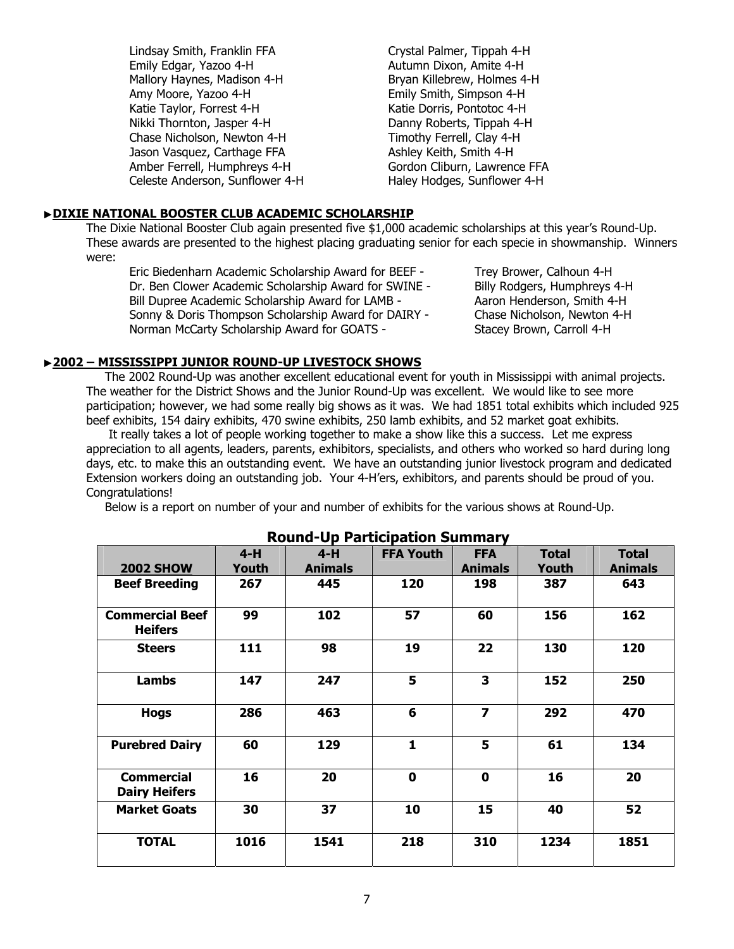Lindsay Smith, Franklin FFA Crystal Palmer, Tippah 4-H Emily Edgar, Yazoo 4-H Autumn Dixon, Amite 4-H Mallory Haynes, Madison 4-H Bryan Killebrew, Holmes 4-H Amy Moore, Yazoo 4-H Emily Smith, Simpson 4-H Katie Taylor, Forrest 4-H Katie Dorris, Pontotoc 4-H Nikki Thornton, Jasper 4-H Danny Roberts, Tippah 4-H Chase Nicholson, Newton 4-H Timothy Ferrell, Clay 4-H Jason Vasquez, Carthage FFA Ashley Keith, Smith 4-H Amber Ferrell, Humphreys 4-H Gordon Cliburn, Lawrence FFA Celeste Anderson, Sunflower 4-H Haley Hodges, Sunflower 4-H

# ▶**DIXIE NATIONAL BOOSTER CLUB ACADEMIC SCHOLARSHIP**

The Dixie National Booster Club again presented five \$1,000 academic scholarships at this year's Round-Up. These awards are presented to the highest placing graduating senior for each specie in showmanship. Winners were:

 Eric Biedenharn Academic Scholarship Award for BEEF - Trey Brower, Calhoun 4-H Dr. Ben Clower Academic Scholarship Award for SWINE - Billy Rodgers, Humphreys 4-H Bill Dupree Academic Scholarship Award for LAMB - Aaron Henderson, Smith 4-H Sonny & Doris Thompson Scholarship Award for DAIRY - Chase Nicholson, Newton 4-H Norman McCarty Scholarship Award for GOATS - Stacey Brown, Carroll 4-H

# ▶**2002 – MISSISSIPPI JUNIOR ROUND-UP LIVESTOCK SHOWS**

 The 2002 Round-Up was another excellent educational event for youth in Mississippi with animal projects. The weather for the District Shows and the Junior Round-Up was excellent. We would like to see more participation; however, we had some really big shows as it was. We had 1851 total exhibits which included 925 beef exhibits, 154 dairy exhibits, 470 swine exhibits, 250 lamb exhibits, and 52 market goat exhibits.

 It really takes a lot of people working together to make a show like this a success. Let me express appreciation to all agents, leaders, parents, exhibitors, specialists, and others who worked so hard during long days, etc. to make this an outstanding event. We have an outstanding junior livestock program and dedicated Extension workers doing an outstanding job. Your 4-H'ers, exhibitors, and parents should be proud of you. Congratulations!

Below is a report on number of your and number of exhibits for the various shows at Round-Up.

|                                           | $4-H$        | $4-H$          | <b>FFA Youth</b> | <b>FFA</b>              | <b>Total</b> | <b>Total</b>   |
|-------------------------------------------|--------------|----------------|------------------|-------------------------|--------------|----------------|
| <b>2002 SHOW</b>                          | <b>Youth</b> | <b>Animals</b> |                  | <b>Animals</b>          | Youth        | <b>Animals</b> |
| <b>Beef Breeding</b>                      | 267          | 445            | 120              | 198                     | 387          | 643            |
| <b>Commercial Beef</b><br><b>Heifers</b>  | 99           | 102            | 57               | 60                      | 156          | 162            |
| <b>Steers</b>                             | 111          | 98             | 19               | 22                      | 130          | 120            |
| <b>Lambs</b>                              | 147          | 247            | 5                | 3                       | 152          | 250            |
| <b>Hogs</b>                               | 286          | 463            | 6                | $\overline{\mathbf{z}}$ | 292          | 470            |
| <b>Purebred Dairy</b>                     | 60           | 129            | $\mathbf{1}$     | 5                       | 61           | 134            |
| <b>Commercial</b><br><b>Dairy Heifers</b> | 16           | 20             | $\mathbf 0$      | $\mathbf 0$             | 16           | 20             |
| <b>Market Goats</b>                       | 30           | 37             | 10               | 15                      | 40           | 52             |
| <b>TOTAL</b>                              | 1016         | 1541           | 218              | 310                     | 1234         | 1851           |

# **Round-Up Participation Summary**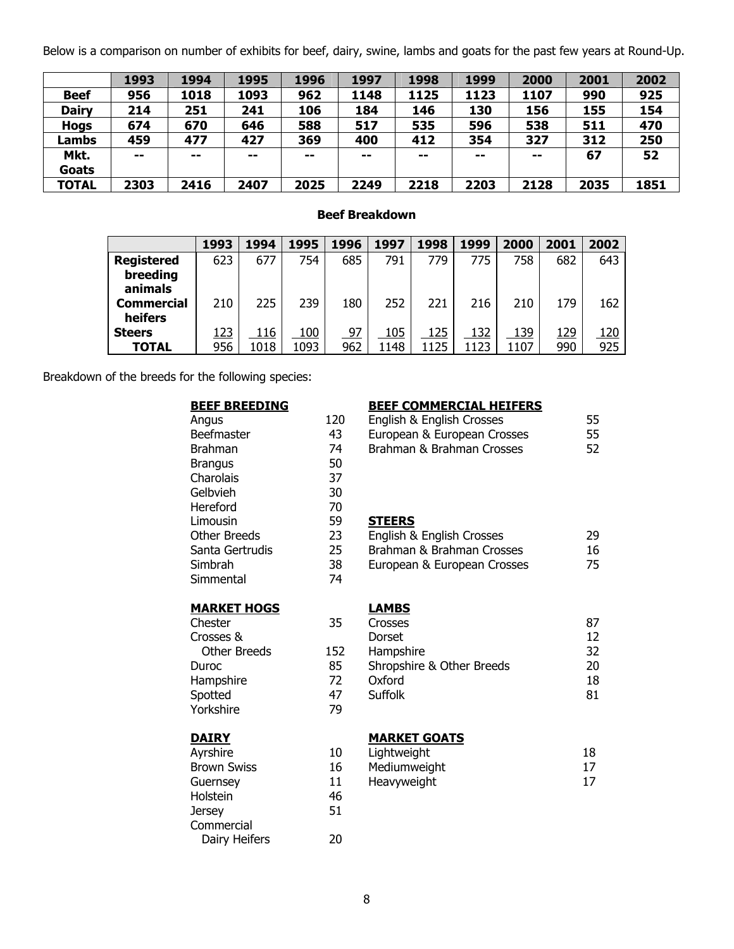Below is a comparison on number of exhibits for beef, dairy, swine, lambs and goats for the past few years at Round-Up.

|              | 1993 | 1994  | 1995 | 1996  | 1997  | 1998                     | 1999  | 2000 | 2001 | 2002 |
|--------------|------|-------|------|-------|-------|--------------------------|-------|------|------|------|
| <b>Beef</b>  | 956  | 1018  | 1093 | 962   | 1148  | 1125                     | 1123  | 1107 | 990  | 925  |
| <b>Dairy</b> | 214  | 251   | 241  | 106   | 184   | 146                      | 130   | 156  | 155  | 154  |
| <b>Hogs</b>  | 674  | 670   | 646  | 588   | 517   | 535                      | 596   | 538  | 511  | 470  |
| Lambs        | 459  | 477   | 427  | 369   | 400   | 412                      | 354   | 327  | 312  | 250  |
| Mkt.         | $-$  | $- -$ | --   | $- -$ | $- -$ | $\overline{\phantom{a}}$ | $- -$ | --   | 67   | 52   |
| Goats        |      |       |      |       |       |                          |       |      |      |      |
| <b>TOTAL</b> | 2303 | 2416  | 2407 | 2025  | 2249  | 2218                     | 2203  | 2128 | 2035 | 1851 |

# **Beef Breakdown**

|                   | 1993        | 1994 | 1995 | 1996 | 1997 | 1998 | 1999 | 2000 | 2001       | 2002        |
|-------------------|-------------|------|------|------|------|------|------|------|------------|-------------|
| <b>Registered</b> | 623         | 677  | 754  | 685  | 791  | 779  | 775  | 758  | 682        | 643         |
| breeding          |             |      |      |      |      |      |      |      |            |             |
| animals           |             |      |      |      |      |      |      |      |            |             |
| <b>Commercial</b> | 210         | 225  | 239  | 180  | 252  | 221  | 216  | 210  | 179        | 162         |
| heifers           |             |      |      |      |      |      |      |      |            |             |
| <b>Steers</b>     | <u> 123</u> | 116  | 100  | 97   | 105  | 125  | 132  | 139  | <u>129</u> | <u> 120</u> |
| <b>TOTAL</b>      | 956         | 1018 | 1093 | 962  | 1148 | 1125 | 1123 | 1107 | 990        | 925         |

Breakdown of the breeds for the following species:

| <u>BEEF BREEDING</u> |     | <u>BEEI</u> |
|----------------------|-----|-------------|
| Angus                | 120 | Engli       |
| Beefmaster           | 43  | Euro        |
| <b>Brahman</b>       | 74  | <b>Brah</b> |
| <b>Brangus</b>       | 50  |             |
| Charolais            | 37  |             |
| Gelbvieh             | 30  |             |
| Hereford             | 70  |             |
| Limousin             | 59  | <b>STEI</b> |
| <b>Other Breeds</b>  | 23  | Engli       |
| Santa Gertrudis      | 25  | <b>Brah</b> |
| Simbrah              | 38  | Euro        |
| Simmental            | 74  |             |
| <b>MARKET HOGS</b>   |     | <u>LAM</u>  |
| Chester              | 35  | Cross       |
| Crosses &            |     | <b>Dors</b> |
| <b>Other Breeds</b>  | 152 | Ham         |
| Duroc                | 85  | Shro        |
| Hampshire            | 72  | Oxfo        |
| Spotted              | 47  | Suffo       |
| Yorkshire            | 79  |             |
| <b>DAIRY</b>         |     | <u>MAR</u>  |
| Ayrshire             | 10  | Light       |
| <b>Brown Swiss</b>   | 16  | Medi        |
| Guernsey             | 11  | Heav        |
| Holstein             | 46  |             |
| <b>Jersey</b>        | 51  |             |
| Commercial           |     |             |
| Dairy Heifers        | 20  |             |

# **F COMMERCIAL HEIFERS**

| English & English Crosses<br>European & European Crosses<br>Brahman & Brahman Crosses                  | 55<br>55<br>52 |
|--------------------------------------------------------------------------------------------------------|----------------|
| <b>STEERS</b><br>English & English Crosses<br>Brahman & Brahman Crosses<br>European & European Crosses | 29<br>16<br>75 |
| LAMBS                                                                                                  |                |

| Crosses                   |    |
|---------------------------|----|
| <b>Dorset</b>             | 12 |
| Hampshire                 | 32 |
| Shropshire & Other Breeds | 20 |
| Oxford                    | 18 |
| Suffolk                   | 81 |
|                           |    |

# **RKET GOATS**

| Lightweight  | 18 |
|--------------|----|
| Mediumweight | 17 |
| Heavyweight  | 17 |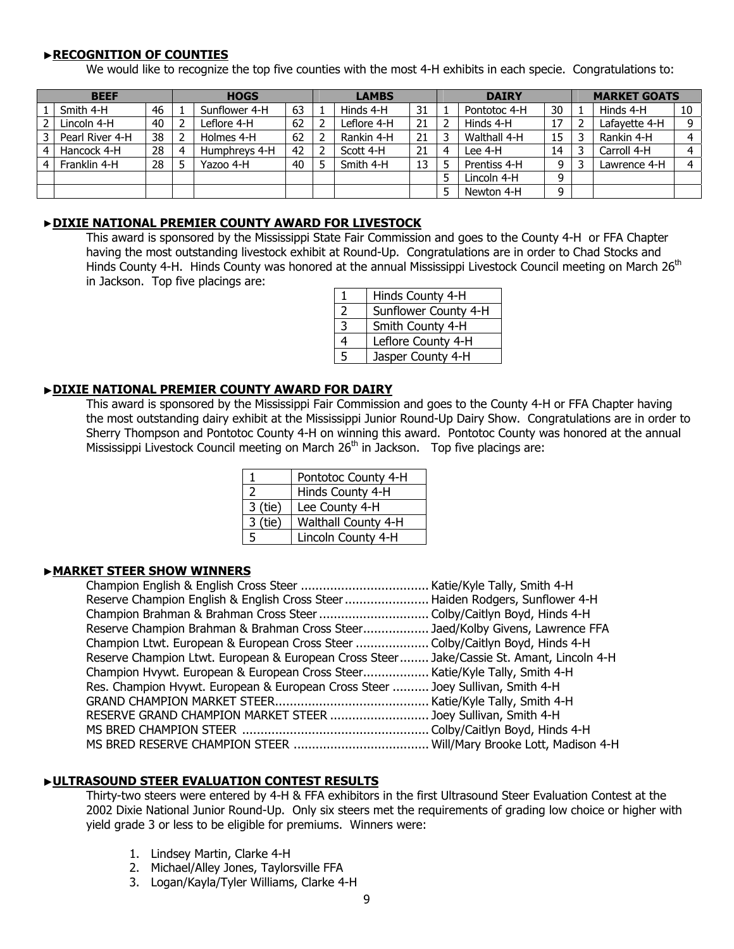# ▶**RECOGNITION OF COUNTIES**

We would like to recognize the top five counties with the most 4-H exhibits in each specie. Congratulations to:

| <b>BEEF</b> |                 |    |                | <b>HOGS</b>   |    |   | <b>LAMBS</b> |    |   | <b>DAIRY</b> |    |   | <b>MARKET GOATS</b> |                |
|-------------|-----------------|----|----------------|---------------|----|---|--------------|----|---|--------------|----|---|---------------------|----------------|
|             | Smith 4-H       | 46 |                | Sunflower 4-H | 63 |   | Hinds 4-H    | 31 |   | Pontotoc 4-H | 30 |   | Hinds 4-H           | 10             |
|             | Lincoln 4-H     | 40 | 2              | Leflore 4-H   | 62 | 2 | Leflore 4-H  | 21 | 2 | Hinds 4-H    | 17 |   | Lafavette 4-H       | 9              |
|             | Pearl River 4-H | 38 | $\overline{2}$ | Holmes 4-H    | 62 | 2 | Rankin 4-H   | 21 | 3 | Walthall 4-H | 15 |   | Rankin 4-H          | $\overline{4}$ |
|             | Hancock 4-H     | 28 | $\overline{a}$ | Humphreys 4-H | 42 | 2 | Scott 4-H    | 21 | 4 | Lee 4-H      | 14 | ∍ | Carroll 4-H         | 4              |
| 4           | Franklin 4-H    | 28 | 5              | Yazoo 4-H     | 40 | 5 | Smith 4-H    | 13 | 5 | Prentiss 4-H | 9  |   | Lawrence 4-H        | $\overline{a}$ |
|             |                 |    |                |               |    |   |              |    | 5 | Lincoln 4-H  | 9  |   |                     |                |
|             |                 |    |                |               |    |   |              |    | 5 | Newton 4-H   | q  |   |                     |                |

# ▶**DIXIE NATIONAL PREMIER COUNTY AWARD FOR LIVESTOCK**

This award is sponsored by the Mississippi State Fair Commission and goes to the County 4-H or FFA Chapter having the most outstanding livestock exhibit at Round-Up. Congratulations are in order to Chad Stocks and Hinds County 4-H. Hinds County was honored at the annual Mississippi Livestock Council meeting on March 26<sup>th</sup> in Jackson. Top five placings are:

|   | Hinds County 4-H     |
|---|----------------------|
| 2 | Sunflower County 4-H |
| 3 | Smith County 4-H     |
| 4 | Leflore County 4-H   |
| 5 | Jasper County 4-H    |

## ▶**DIXIE NATIONAL PREMIER COUNTY AWARD FOR DAIRY**

This award is sponsored by the Mississippi Fair Commission and goes to the County 4-H or FFA Chapter having the most outstanding dairy exhibit at the Mississippi Junior Round-Up Dairy Show. Congratulations are in order to Sherry Thompson and Pontotoc County 4-H on winning this award. Pontotoc County was honored at the annual Mississippi Livestock Council meeting on March  $26<sup>th</sup>$  in Jackson. Top five placings are:

|           | Pontotoc County 4-H |
|-----------|---------------------|
|           | Hinds County 4-H    |
| 3 (tie)   | Lee County 4-H      |
| $3$ (tie) | Walthall County 4-H |
| 5         | Lincoln County 4-H  |

# ▶**MARKET STEER SHOW WINNERS**

| Reserve Champion English & English Cross Steer  Haiden Rodgers, Sunflower 4-H             |  |
|-------------------------------------------------------------------------------------------|--|
| Champion Brahman & Brahman Cross Steer  Colby/Caitlyn Boyd, Hinds 4-H                     |  |
| Reserve Champion Brahman & Brahman Cross Steer Jaed/Kolby Givens, Lawrence FFA            |  |
| Champion Ltwt. European & European Cross Steer  Colby/Caitlyn Boyd, Hinds 4-H             |  |
| Reserve Champion Ltwt. European & European Cross Steer Jake/Cassie St. Amant, Lincoln 4-H |  |
| Champion Hvywt. European & European Cross Steer Katie/Kyle Tally, Smith 4-H               |  |
| Res. Champion Hvywt. European & European Cross Steer  Joey Sullivan, Smith 4-H            |  |
|                                                                                           |  |
| RESERVE GRAND CHAMPION MARKET STEER  Joey Sullivan, Smith 4-H                             |  |
|                                                                                           |  |
|                                                                                           |  |

# ▶**ULTRASOUND STEER EVALUATION CONTEST RESULTS**

 Thirty-two steers were entered by 4-H & FFA exhibitors in the first Ultrasound Steer Evaluation Contest at the 2002 Dixie National Junior Round-Up. Only six steers met the requirements of grading low choice or higher with yield grade 3 or less to be eligible for premiums. Winners were:

- 1. Lindsey Martin, Clarke 4-H
- 2. Michael/Alley Jones, Taylorsville FFA
- 3. Logan/Kayla/Tyler Williams, Clarke 4-H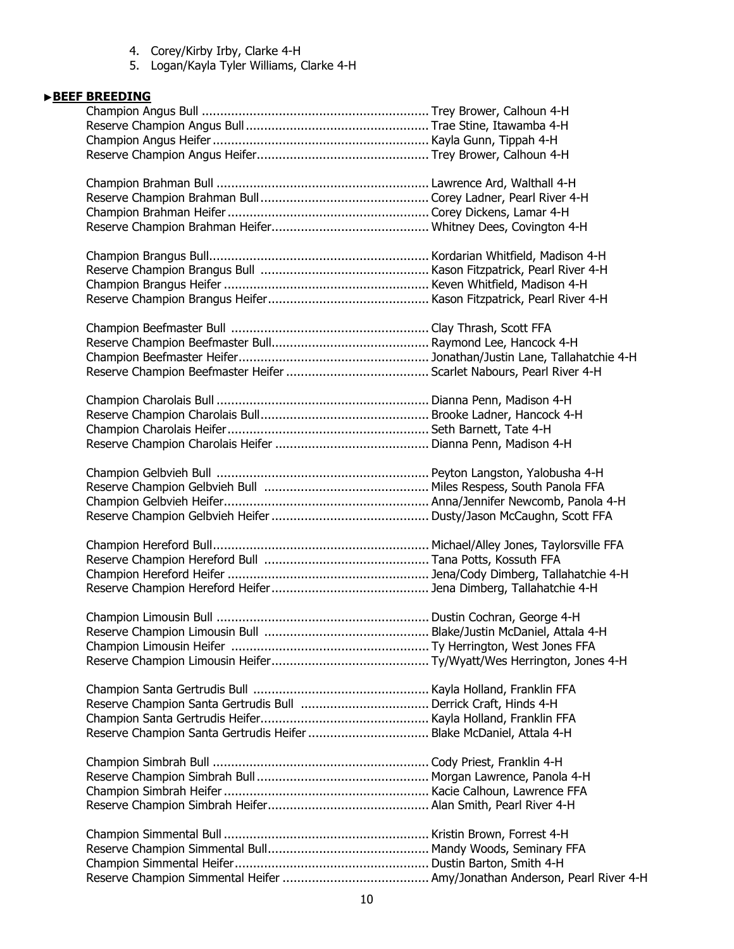- 4. Corey/Kirby Irby, Clarke 4-H
- 5. Logan/Kayla Tyler Williams, Clarke 4-H

# ▶**BEEF BREEDING**

| Reserve Champion Santa Gertrudis Heifer  Blake McDaniel, Attala 4-H |  |
|---------------------------------------------------------------------|--|
|                                                                     |  |
|                                                                     |  |
|                                                                     |  |
|                                                                     |  |
|                                                                     |  |
|                                                                     |  |
|                                                                     |  |
|                                                                     |  |
|                                                                     |  |
|                                                                     |  |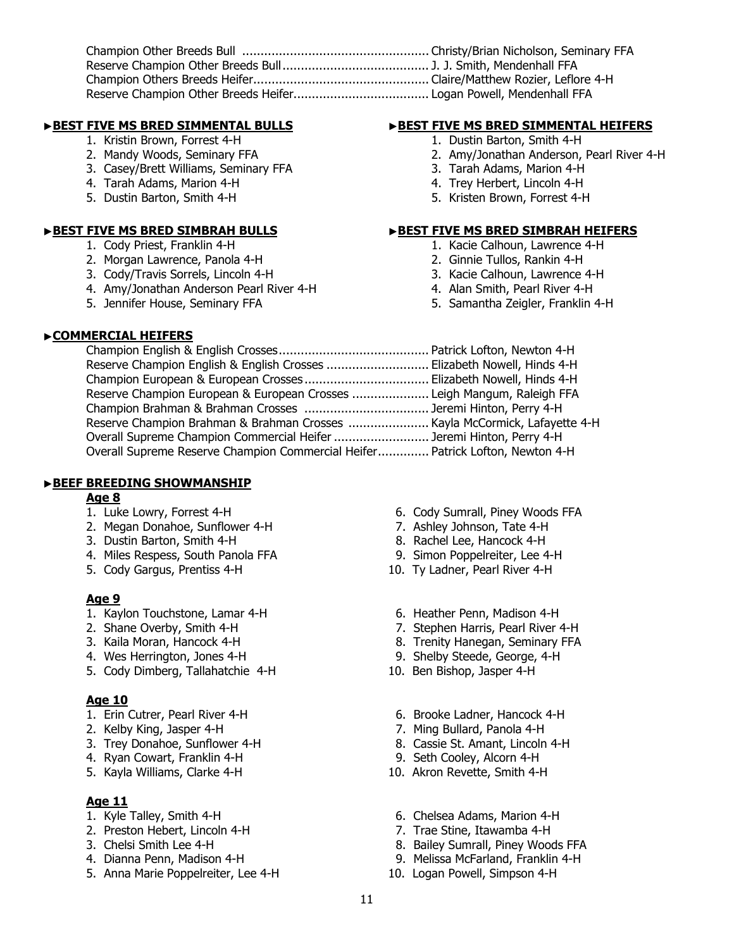# ▶**BEST FIVE MS BRED SIMMENTAL BULLS** ▶**BEST FIVE MS BRED SIMMENTAL HEIFERS**

- 1. Kristin Brown, Forrest 4-H 1. Dustin Barton, Smith 4-H
- 
- 3. Casey/Brett Williams, Seminary FFA 3. Tarah Adams, Marion 4-H
- 4. Tarah Adams, Marion 4-H 4. Trey Herbert, Lincoln 4-H
- 

- 
- 2. Morgan Lawrence, Panola 4-H 2. Ginnie Tullos, Rankin 4-H
- 3. Cody/Travis Sorrels, Lincoln 4-H 3. Kacie Calhoun, Lawrence 4-H
- 4. Amy/Jonathan Anderson Pearl River 4-H 4. Alan Smith, Pearl River 4-H
- 

- 
- 2. Mandy Woods, Seminary FFA 2. Amy/Jonathan Anderson, Pearl River 4-H
	-
	-
- 5. Dustin Barton, Smith 4-H 5. Kristen Brown, Forrest 4-H

# **BEST FIVE MS BRED SIMBRAH BULLS**<br>1. Cody Priest, Franklin 4-H<br>1. Kacie Calhoun, Lawrence 4-H

- 1. Kacie Calhoun, Lawrence 4-H
- 
- 
- 
- 5. Jennifer House, Seminary FFA 5. Samantha Zeigler, Franklin 4-H
- ▶**COMMERCIAL HEIFERS**

| Reserve Champion English & English Crosses  Elizabeth Nowell, Hinds 4-H       |  |
|-------------------------------------------------------------------------------|--|
|                                                                               |  |
| Reserve Champion European & European Crosses  Leigh Mangum, Raleigh FFA       |  |
|                                                                               |  |
| Reserve Champion Brahman & Brahman Crosses  Kayla McCormick, Lafayette 4-H    |  |
| Overall Supreme Champion Commercial Heifer  Jeremi Hinton, Perry 4-H          |  |
| Overall Supreme Reserve Champion Commercial Heifer Patrick Lofton, Newton 4-H |  |
|                                                                               |  |

# ▶**BEEF BREEDING SHOWMANSHIP**

### **Age 8**

- 
- 2. Megan Donahoe, Sunflower 4-H 7. Ashley Johnson, Tate 4-H
- 3. Dustin Barton, Smith 4-H 8. Rachel Lee, Hancock 4-H
- 4. Miles Respess, South Panola FFA 9. Simon Poppelreiter, Lee 4-H
- 5. Cody Gargus, Prentiss 4-H 10. Ty Ladner, Pearl River 4-H

# **Age 9**

- 1. Kaylon Touchstone, Lamar 4-H 6. Heather Penn, Madison 4-H
- 
- 
- 4. Wes Herrington, Jones 4-H 9. Shelby Steede, George, 4-H
- 5. Cody Dimberg, Tallahatchie 4-H 10. Ben Bishop, Jasper 4-H

# **Age 10**

- 1. Erin Cutrer, Pearl River 4-H 6. Brooke Ladner, Hancock 4-H
- 2. Kelby King, Jasper 4-H 7. Ming Bullard, Panola 4-H
- 3. Trey Donahoe, Sunflower 4-H 8. Cassie St. Amant, Lincoln 4-H
- 
- 5. Kayla Williams, Clarke 4-H 10. Akron Revette, Smith 4-H

# **Age 11**

- 
- 
- 
- 
- 5. Anna Marie Poppelreiter, Lee 4-H 10. Logan Powell, Simpson 4-H
- 1. Luke Lowry, Forrest 4-H 6. Cody Sumrall, Piney Woods FFA
	-
	-
	-
	-
	-
- 2. Shane Overby, Smith 4-H 7. Stephen Harris, Pearl River 4-H
- 3. Kaila Moran, Hancock 4-H 8. Trenity Hanegan, Seminary FFA
	-
	-
	-
	-
	-
- 4. Ryan Cowart, Franklin 4-H 9. Seth Cooley, Alcorn 4-H
	-
- 1. Kyle Talley, Smith 4-H 6. Chelsea Adams, Marion 4-H
- 2. Preston Hebert, Lincoln 4-H 7. Trae Stine, Itawamba 4-H
- 3. Chelsi Smith Lee 4-H 8. Bailey Sumrall, Piney Woods FFA
- 4. Dianna Penn, Madison 4-H 9. Melissa McFarland, Franklin 4-H
	-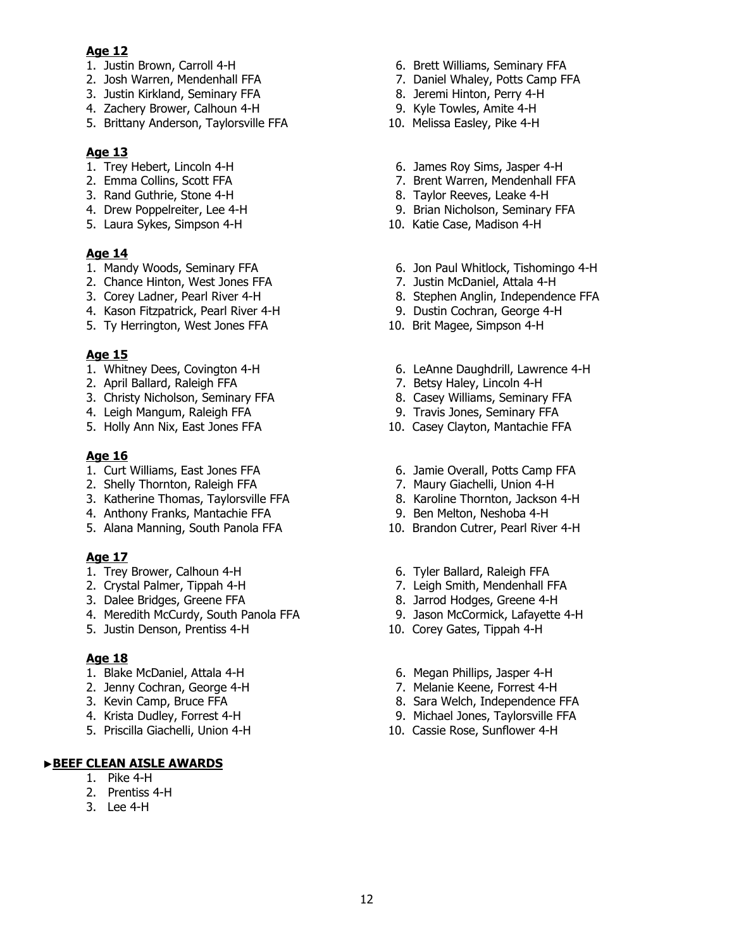# **Age 12**

- 
- 
- 3. Justin Kirkland, Seminary FFA 8. Jeremi Hinton, Perry 4-H
- 4. Zachery Brower, Calhoun 4-H 9. Kyle Towles, Amite 4-H
- 5. Brittany Anderson, Taylorsville FFA 10. Melissa Easley, Pike 4-H

# **Age 13**

- 
- 
- 3. Rand Guthrie, Stone 4-H 8. Taylor Reeves, Leake 4-H
- 
- 5. Laura Sykes, Simpson 4-H

# **Age 14**

- 
- 2. Chance Hinton, West Jones FFA 7. Justin McDaniel, Attala 4-H<br>3. Corey Ladner, Pearl River 4-H 8. Stephen Anglin, Independer
- 
- 4. Kason Fitzpatrick, Pearl River 4-H 9. Dustin Cochran, George 4-H
- 5. Ty Herrington, West Jones FFA 10. Brit Magee, Simpson 4-H

# **Age 15**

- 
- 
- 3. Christy Nicholson, Seminary FFA 8. Casey Williams, Seminary FFA
- 4. Leigh Mangum, Raleigh FFA 9. Travis Jones, Seminary FFA
- 5. Holly Ann Nix, East Jones FFA 10. Casey Clayton, Mantachie FFA

# **Age 16**

- 
- 2. Shelly Thornton, Raleigh FFA 7. Maury Giachelli, Union 4-H
- 2. Sheny Thomas, Taylorsville FFA 8. Karoline Thornton, Jackson 4-H<br>3. Katherine Thomas, Taylorsville FFA 8. Karoline Thornton, Jackson 4-H
- 4. Anthony Franks, Mantachie FFA 9. Ben Melton, Neshoba 4-H
- 5. Alana Manning, South Panola FFA 10. Brandon Cutrer, Pearl River 4-H

# **Age 17**

- 1. Trey Brower, Calhoun 4-H 6. Tyler Ballard, Raleigh FFA
- 
- 
- 4. Meredith McCurdy, South Panola FFA 9. Jason McCormick, Lafayette 4-H
- 5. Justin Denson, Prentiss 4-H 10. Corey Gates, Tippah 4-H

# **Age 18**

- 
- 
- 
- 
- 5. Priscilla Giachelli, Union 4-H 10. Cassie Rose, Sunflower 4-H

# ▶**BEEF CLEAN AISLE AWARDS**

- 1. Pike 4-H
- 2. Prentiss 4-H
- 3. Lee 4-H
- 1. Justin Brown, Carroll 4-H 6. Brett Williams, Seminary FFA
- 2. Josh Warren, Mendenhall FFA 7. Daniel Whaley, Potts Camp FFA
	-
	-
	-
- 1. Trey Hebert, Lincoln 4-H 6. James Roy Sims, Jasper 4-H
- 2. Emma Collins, Scott FFA 7. Brent Warren, Mendenhall FFA
	-
- 4. Drew Poppelreiter, Lee 4-H 9. Brian Nicholson, Seminary FFA<br>
5. Laura Sykes, Simpson 4-H 9. 2010. Katie Case, Madison 4-H
	-
- 1. Mandy Woods, Seminary FFA 6. Jon Paul Whitlock, Tishomingo 4-H
	-
	- 8. Stephen Anglin, Independence FFA
	-
	-
- 1. Whitney Dees, Covington 4-H 6. LeAnne Daughdrill, Lawrence 4-H
- 2. April Ballard, Raleigh FFA 7. Betsy Haley, Lincoln 4-H
	-
	-
	-
- 1. Curt Williams, East Jones FFA 6. Jamie Overall, Potts Camp FFA
	-
	-
	-
	-
	-
- 2. Crystal Palmer, Tippah 4-H 7. Leigh Smith, Mendenhall FFA<br>3. Dalee Bridges, Greene FFA 8. Jarrod Hodges, Greene 4-H
	- 8. Jarrod Hodges, Greene 4-H
	-
	-
- 1. Blake McDaniel, Attala 4-H 6. Megan Phillips, Jasper 4-H
- 2. Jenny Cochran, George 4-H 7. Melanie Keene, Forrest 4-H
- 3. Kevin Camp, Bruce FFA 8. Sara Welch, Independence FFA
- 4. Krista Dudley, Forrest 4-H 9. Michael Jones, Taylorsville FFA
	-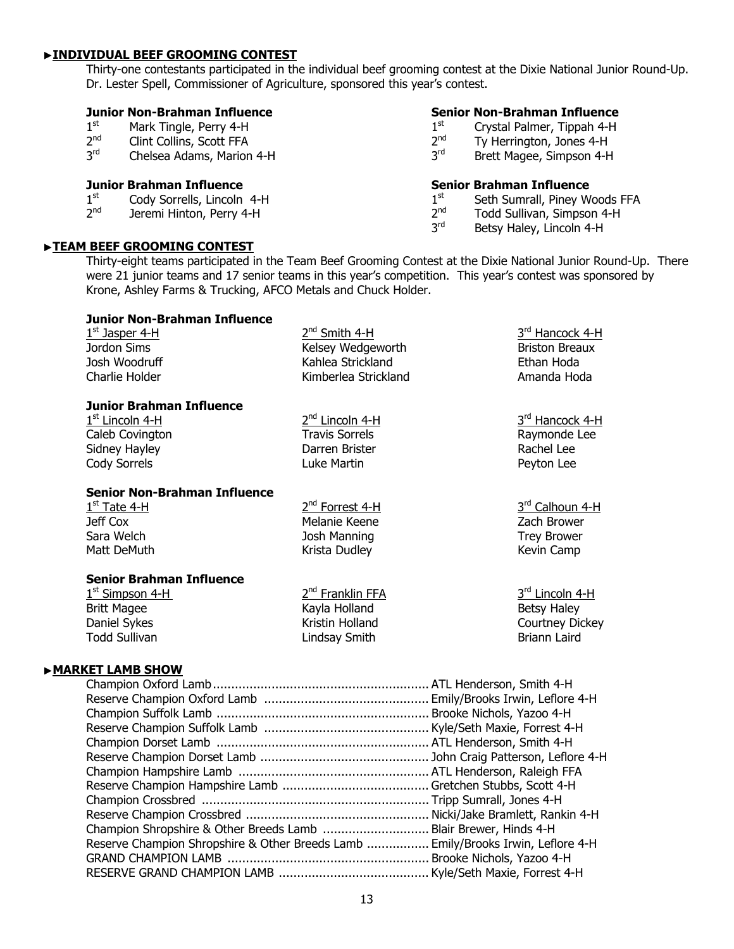## ▶**INDIVIDUAL BEEF GROOMING CONTEST**

Thirty-one contestants participated in the individual beef grooming contest at the Dixie National Junior Round-Up. Dr. Lester Spell, Commissioner of Agriculture, sponsored this year's contest.

# **Junior Non-Brahman Influence**<br>1<sup>st</sup> Mark Tingle, Perry 4-H

- $1<sup>st</sup>$  Mark Tingle, Perry 4-H<br> $2<sup>nd</sup>$  Clint Collins, Scott FFA
- $2<sup>nd</sup>$  Clint Collins, Scott FFA<br> $3<sup>rd</sup>$  Chelsea Adams Marion
- Chelsea Adams, Marion 4-H

## **Junior Brahman Influence**

- $1<sup>st</sup>$  Cody Sorrells, Lincoln 4-H<br> $2<sup>nd</sup>$  Jeremi Hinton, Perry 4-H
- Jeremi Hinton, Perry 4-H

# ▶**TEAM BEEF GROOMING CONTEST**

**Senior Brahman Influence** 

 $1<sup>st</sup>$  Seth Sumrall, Piney Woods FFA<br> $2<sup>nd</sup>$  Todd Sullivan. Simpson 4-H

Brett Magee, Simpson 4-H

 $2^{nd}$  Todd Sullivan, Simpson 4-H<br> $3^{rd}$  Betsy Haley Tincoln 4-H

**Senior Non-Brahman Influence**<br>1<sup>st</sup> Crystal Palmer, Tippah 4-H  $1<sup>st</sup>$  Crystal Palmer, Tippah 4-H<br> $2<sup>nd</sup>$  Tv Herrington, Jones 4-H  $2<sup>nd</sup>$  Ty Herrington, Jones 4-H<br> $3<sup>rd</sup>$  Brett Magee, Simpson 4-H

Betsy Haley, Lincoln 4-H

Thirty-eight teams participated in the Team Beef Grooming Contest at the Dixie National Junior Round-Up. There were 21 junior teams and 17 senior teams in this year's competition. This year's contest was sponsored by Krone, Ashley Farms & Trucking, AFCO Metals and Chuck Holder.

# **Junior Non-Brahman Influence**

| $1st$ Jasper 4-H | $2nd$ Smith 4-H      | 3rd Hancock 4-H       |
|------------------|----------------------|-----------------------|
| Jordon Sims      | Kelsey Wedgeworth    | <b>Briston Breaux</b> |
| Josh Woodruff    | Kahlea Strickland    | Ethan Hoda            |
| Charlie Holder   | Kimberlea Strickland | Amanda Hoda           |
|                  |                      |                       |

### **Junior Brahman Influence**

Caleb Covington Travis Sorrels **Caleb Covington** Caleb Covington Sidney Hayley **Darren Brister Communist Communist Communist Communist Communist Communist Communist Communist Communist Communist Communist Communist Communist Communist Communist Communist Communist Communist Communist Co** Cody Sorrels **Cody Sorrels Cody Sorrels Luke Martin Peyton Lee** 

**Senior Non-Brahman Influence** 

 Jeff Cox Melanie Keene Zach Brower Sara Welch **Sara Welch Sara Welch Constructs** Josh Manning Trey Brower Trey Brower Matt DeMuth **Krista Dudley Communist Channel Communist** Kevin Camp

### **Senior Brahman Influence**

 $1<sup>st</sup>$  Simpson 4-H  $2<sup>nd</sup>$  Franklin FFA  $3<sup>rd</sup>$  Lincoln 4-H Britt Magee The Research Holland Betsy Haley Betsy Haley Daniel Sykes **Courtney Courtney Courtney Dickey** Kristin Holland Courtney Dickey Todd Sullivan Lindsay Smith Briann Laird

 $1^{\text{st}}$  Lincoln 4-H  $2^{\text{nd}}$  Lincoln 4-H  $3^{\text{rd}}$  Hancock 4-H

 $1<sup>st</sup>$  Tate 4-H  $2<sup>nd</sup>$  Forrest 4-H  $3<sup>rd</sup>$  Calhoun 4-H

# ▶**MARKET LAMB SHOW**

| Champion Shropshire & Other Breeds Lamb  Blair Brewer, Hinds 4-H                 |  |
|----------------------------------------------------------------------------------|--|
| Reserve Champion Shropshire & Other Breeds Lamb  Emily/Brooks Irwin, Leflore 4-H |  |
|                                                                                  |  |
|                                                                                  |  |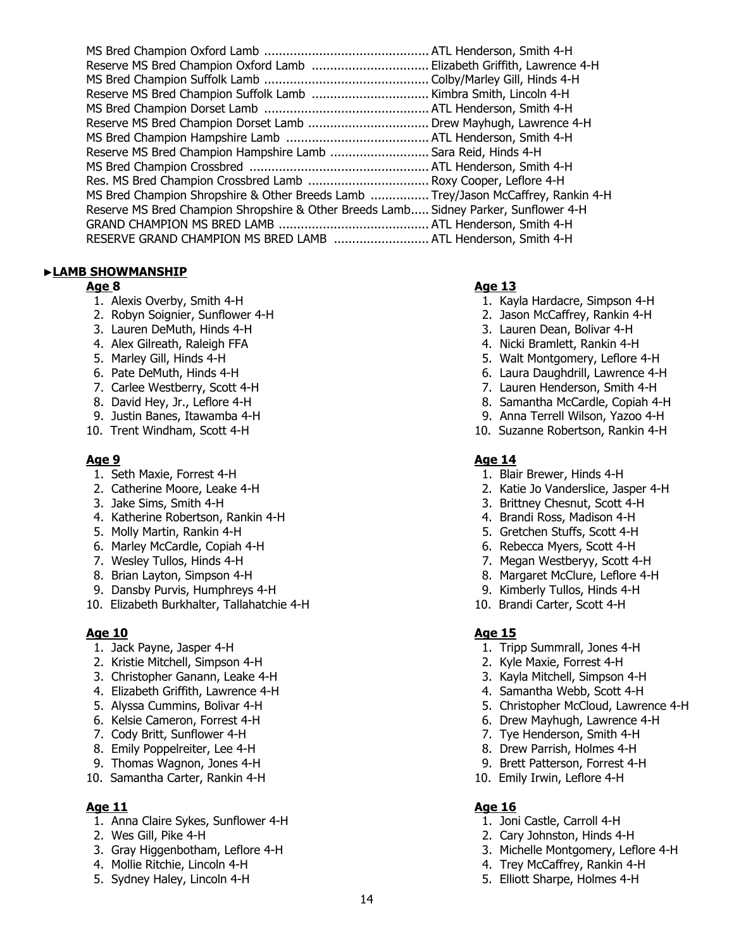| Reserve MS Bred Champion Oxford Lamb  Elizabeth Griffith, Lawrence 4-H               |  |
|--------------------------------------------------------------------------------------|--|
|                                                                                      |  |
|                                                                                      |  |
|                                                                                      |  |
| Reserve MS Bred Champion Dorset Lamb  Drew Mayhugh, Lawrence 4-H                     |  |
|                                                                                      |  |
| Reserve MS Bred Champion Hampshire Lamb  Sara Reid, Hinds 4-H                        |  |
|                                                                                      |  |
| Res. MS Bred Champion Crossbred Lamb  Roxy Cooper, Leflore 4-H                       |  |
| MS Bred Champion Shropshire & Other Breeds Lamb  Trey/Jason McCaffrey, Rankin 4-H    |  |
| Reserve MS Bred Champion Shropshire & Other Breeds Lamb Sidney Parker, Sunflower 4-H |  |
|                                                                                      |  |
| RESERVE GRAND CHAMPION MS BRED LAMB  ATL Henderson, Smith 4-H                        |  |
|                                                                                      |  |

# ▶**LAMB SHOWMANSHIP**

- 
- 2. Robyn Soignier, Sunflower 4-H 2. Jason McCaffrey, Rankin 4-H
- 
- 
- 
- 
- 
- 
- 
- 

- 
- 
- 
- 4. Katherine Robertson, Rankin 4-H 4. Brandi Ross, Madison 4-H
- 
- 6. Marley McCardle, Copiah 4-H 6. Rebecca Myers, Scott 4-H
- 
- 
- 9. Dansby Purvis, Humphreys 4-H 9. Kimberly Tullos, Hinds 4-H
- 10. Elizabeth Burkhalter, Tallahatchie 4-H 10. Brandi Carter, Scott 4-H

- 
- 2. Kristie Mitchell, Simpson 4-H 2. Kyle Maxie, Forrest 4-H
- 3. Christopher Ganann, Leake 4-H 3. Kayla Mitchell, Simpson 4-H
- 4. Elizabeth Griffith, Lawrence 4-H  $\overline{a}$  4. Samantha Webb, Scott 4-H
- 
- 
- 
- 
- 9. Thomas Wagnon, Jones 4-H 9. Brett Patterson, Forrest 4-H
- 10. Samantha Carter, Rankin 4-H 10. Emily Irwin, Leflore 4-H

- 1. Anna Claire Sykes, Sunflower 4-H 1. Joni Castle, Carroll 4-H
- 
- 3. Gray Higgenbotham, Leflore 4-H 3. Michelle Montgomery, Leflore 4-H
- 4. Mollie Ritchie, Lincoln 4-H 4. Trey McCaffrey, Rankin 4-H
- 

# **Age 8 Age 13**

- 1. Alexis Overby, Smith 4-H 1. Kayla Hardacre, Simpson 4-H
	-
- 3. Lauren DeMuth, Hinds 4-H 3. Lauren Dean, Bolivar 4-H
- 4. Alex Gilreath, Raleigh FFA 4. Nicki Bramlett, Rankin 4-H
- 5. Marley Gill, Hinds 4-H 5. Walt Montgomery, Leflore 4-H
- 6. Pate DeMuth, Hinds 4-H 6. Laura Daughdrill, Lawrence 4-H
- 7. Carlee Westberry, Scott 4-H 7. Lauren Henderson, Smith 4-H
- 8. David Hey, Jr., Leflore 4-H 8. Samantha McCardle, Copiah 4-H
- 9. Justin Banes, Itawamba 4-H 9. Anna Terrell Wilson, Yazoo 4-H
- 10. Trent Windham, Scott 4-H 10. Suzanne Robertson, Rankin 4-H

### **Age 9** Age 14

- 1. Seth Maxie, Forrest 4-H 1. Blair Brewer, Hinds 4-H
- 2. Catherine Moore, Leake 4-H 2. Katie Jo Vanderslice, Jasper 4-H
- 3. Jake Sims, Smith 4-H 3. Brittney Chesnut, Scott 4-H
	-
- 5. Molly Martin, Rankin 4-H 5. Gretchen Stuffs, Scott 4-H
	-
- 7. Wesley Tullos, Hinds 4-H 7. Megan Westberyy, Scott 4-H
- 8. Brian Layton, Simpson 4-H 8. Margaret McClure, Leflore 4-H
	-
	-
- 1. Jack Payne, Jasper 4-H 1. Tripp Summrall, Jones 4-H
	-
	-
	-
- 5. Alyssa Cummins, Bolivar 4-H 5. Christopher McCloud, Lawrence 4-H
- 6. Kelsie Cameron, Forrest 4-H 6. Kelsie Cameron, Forrest 4-H
- 7. Cody Britt, Sunflower 4-H 7. Tye Henderson, Smith 4-H
- 8. Emily Poppelreiter, Lee 4-H 8. Drew Parrish, Holmes 4-H
	-
	-

# **Age 11 Age 16**

- 
- 2. Wes Gill, Pike 4-H 2. Cary Johnston, Hinds 4-H
	-
	-
- 5. Sydney Haley, Lincoln 4-H 5. Elliott Sharpe, Holmes 4-H

**Age 10 Age 15 Age 16 Age 16 Age 16 Age 16 Age 16 Age 16** 

- 
- 
-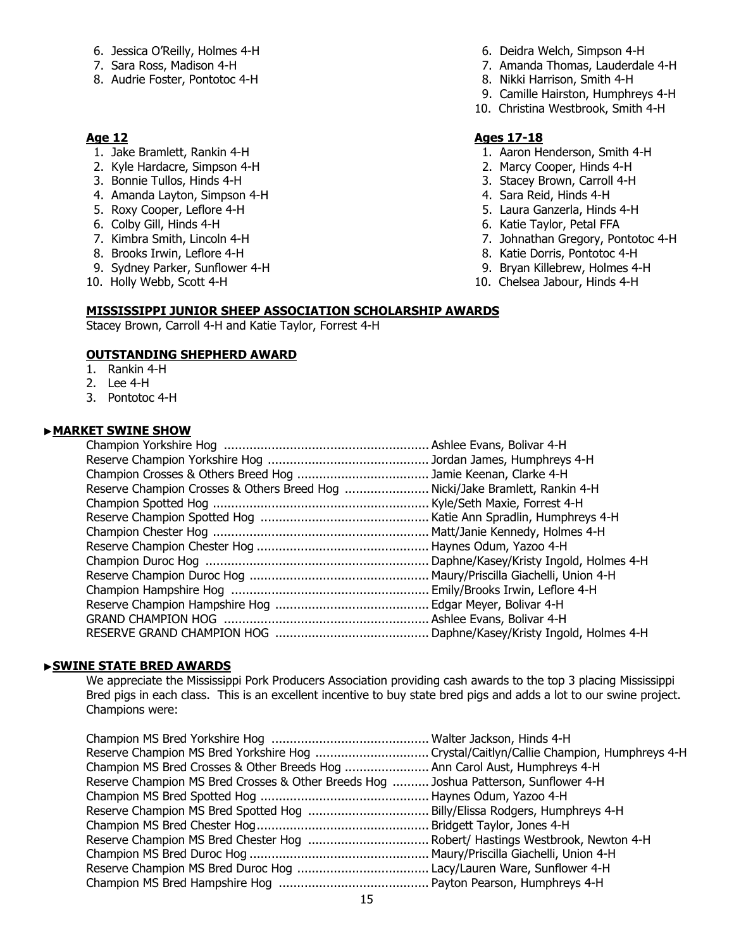- 6. Jessica O'Reilly, Holmes 4-H 6. Deidra Welch, Simpson 4-H
- 
- 8. Audrie Foster, Pontotoc 4-H 8. Nikki Harrison, Smith 4-H

- 
- 2. Kyle Hardacre, Simpson 4-H 2. Marcy Cooper, Hinds 4-H
- 
- 4. Amanda Layton, Simpson 4-H 4. Sara Reid, Hinds 4-H
- 
- 
- 
- 
- 9. Sydney Parker, Sunflower 4-H 9. Bryan Killebrew, Holmes 4-H
- 
- 
- 7. Sara Ross, Madison 4-H 7. Amanda Thomas, Lauderdale 4-H
	-
	- 9. Camille Hairston, Humphreys 4-H
	- 10. Christina Westbrook, Smith 4-H

# **Age 12 Ages 17-18**

- 1. Jake Bramlett, Rankin 4-H 1. Aaron Henderson, Smith 4-H
	-
- 3. Bonnie Tullos, Hinds 4-H 3. Stacey Brown, Carroll 4-H
	-
- 5. Roxy Cooper, Leflore 4-H 6. 2012 12:30 12:30 12:30 12:30 12:30 12:30 12:30 13:30 14:30 15:30 15:30 15:30 15:30 15:30 15:30 15:30 15:30 15:30 15:30 15:30 15:30 15:30 15:30 15:30 15:30 15:30 15:30 15:30 15:30 15:30 15:30
- 6. Colby Gill, Hinds 4-H 6. Katie Taylor, Petal FFA
- 7. Kimbra Smith, Lincoln 4-H 7. Johnathan Gregory, Pontotoc 4-H
- 8. Brooks Irwin, Leflore 4-H 8. Katie Dorris, Pontotoc 4-H
	-
- 10. Holly Webb, Scott 4-H 10. Chelsea Jabour, Hinds 4-H

### **MISSISSIPPI JUNIOR SHEEP ASSOCIATION SCHOLARSHIP AWARDS**

Stacey Brown, Carroll 4-H and Katie Taylor, Forrest 4-H

# **OUTSTANDING SHEPHERD AWARD**

- 1. Rankin 4-H
- 2. Lee 4-H
- 3. Pontotoc 4-H

### ▶**MARKET SWINE SHOW**

| Reserve Champion Crosses & Others Breed Hog  Nicki/Jake Bramlett, Rankin 4-H |  |
|------------------------------------------------------------------------------|--|
|                                                                              |  |
|                                                                              |  |
|                                                                              |  |
|                                                                              |  |
|                                                                              |  |
|                                                                              |  |
|                                                                              |  |
|                                                                              |  |
|                                                                              |  |
|                                                                              |  |
|                                                                              |  |

### ▶**SWINE STATE BRED AWARDS**

We appreciate the Mississippi Pork Producers Association providing cash awards to the top 3 placing Mississippi Bred pigs in each class. This is an excellent incentive to buy state bred pigs and adds a lot to our swine project. Champions were:

| Champion MS Bred Crosses & Other Breeds Hog  Ann Carol Aust, Humphreys 4-H           |  |
|--------------------------------------------------------------------------------------|--|
| Reserve Champion MS Bred Crosses & Other Breeds Hog  Joshua Patterson, Sunflower 4-H |  |
|                                                                                      |  |
|                                                                                      |  |
|                                                                                      |  |
|                                                                                      |  |
|                                                                                      |  |
|                                                                                      |  |
|                                                                                      |  |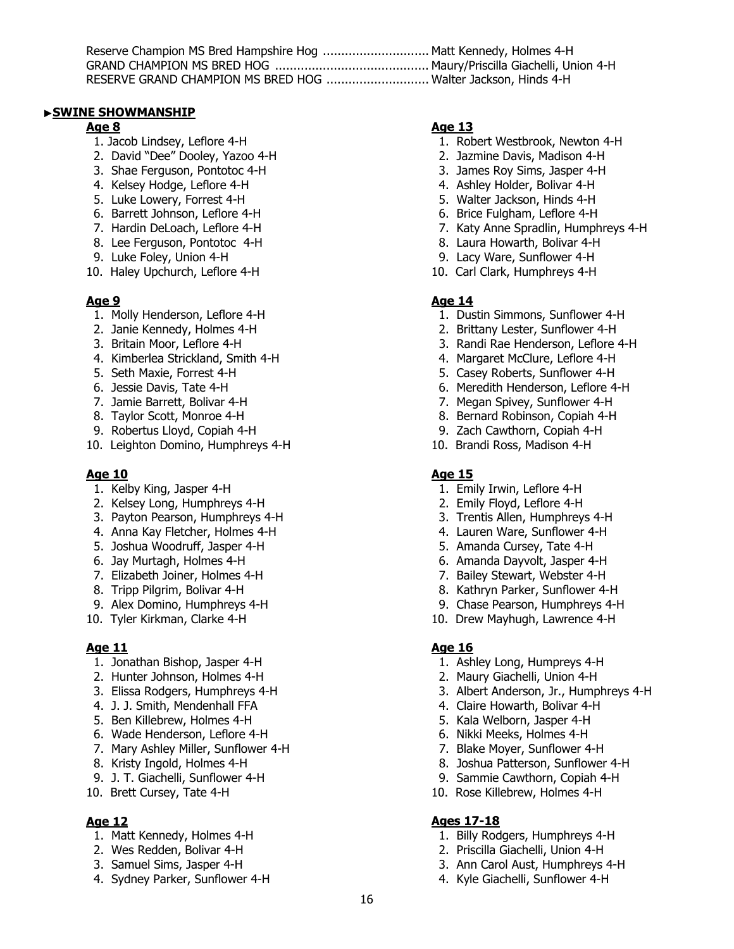| Reserve Champion MS Bred Hampshire Hog  Matt Kennedy, Holmes 4-H |  |
|------------------------------------------------------------------|--|
|                                                                  |  |
| RESERVE GRAND CHAMPION MS BRED HOG  Walter Jackson, Hinds 4-H    |  |

# ▶**SWINE SHOWMANSHIP**

- 
- 2. David "Dee" Dooley, Yazoo 4-H 2. Jazmine Davis, Madison 4-H
- 3. Shae Ferguson, Pontotoc 4-H 3. James Roy Sims, Jasper 4-H
- 
- 
- 5. Luke Lowery, Forrest 4-H 5. University of the Same Control of State State 1 State Jackson, Hinds 4-H 5. Walter Jackson, Hinds 4-H 6. Brice Fulgham, Leflore 4-H 6. Barrett Johnson, Leflore 4-H
- 
- 
- 
- 10. Haley Upchurch, Leflore 4-H 10. Carl Clark, Humphreys 4-H

- 
- 
- 
- 4. Kimberlea Strickland, Smith 4-H 4. And 4. Margaret McClure, Leflore 4-H
- 
- 
- 
- 
- 
- 10. Leighton Domino, Humphreys 4-H 10. Brandi Ross, Madison 4-H

# **Age 10 Age 15**

- 1. Kelby King, Jasper 4-H 1. Emily Irwin, Leflore 4-H
- 2. Kelsey Long, Humphreys 4-H 2. Emily Floyd, Leflore 4-H
- 3. Payton Pearson, Humphreys 4-H 3. Trentis Allen, Humphreys 4-H
- 4. Anna Kay Fletcher, Holmes 4-H 4. Lauren Ware, Sunflower 4-H
- 5. Joshua Woodruff, Jasper 4-H 5. Amanda Cursey, Tate 4-H
- 
- 7. Elizabeth Joiner, Holmes 4-H 7. Bailey Stewart, Webster 4-H
- 
- 
- 

# **Age 11 Age 16**

- 1. Jonathan Bishop, Jasper 4-H 1. Ashley Long, Humpreys 4-H
- 2. Hunter Johnson, Holmes 4-H 2. Maury Giachelli, Union 4-H
- 
- 4. J. J. Smith, Mendenhall FFA 4. Claire Howarth, Bolivar 4-H
- 5. Ben Killebrew, Holmes 4-H 5. Kala Welborn, Jasper 4-H
- 6. Wade Henderson, Leflore 4-H 6. Nikki Meeks, Holmes 4-H
- 7. Mary Ashley Miller, Sunflower 4-H 7. Blake Moyer, Sunflower 4-H
- 
- 9. J. T. Giachelli, Sunflower 4-H 9. Sammie Cawthorn, Copiah 4-H
- 

- 
- 
- 
- 

# **Age 8 Age 13 Age 13 Age 13**

- 1. Jacob Lindsey, Leflore 4-H 1. Robert Westbrook, Newton 4-H
	-
	-
- 4. Kelsey Hodge, Leflore 4-H 4. Ashley Holder, Bolivar 4-H
	-
	-
- 7. Hardin DeLoach, Leflore 4-H 7. Katy Anne Spradlin, Humphreys 4-H
- 8. Lee Ferguson, Pontotoc 4-H 8. Laura Howarth, Bolivar 4-H
- 9. Luke Foley, Union 4-H 9. Lacy Ware, Sunflower 4-H
	-

# Age 9 **Age 14** Age 14

- 1. Molly Henderson, Leflore 4-H 1. Dustin Simmons, Sunflower 4-H
- 2. Janie Kennedy, Holmes 4-H 2. Brittany Lester, Sunflower 4-H
- 3. Britain Moor, Leflore 4-H 3. Randi Rae Henderson, Leflore 4-H
	-
- 5. Seth Maxie, Forrest 4-H 5. Casey Roberts, Sunflower 4-H
- 6. Jessie Davis, Tate 4-H 6. Meredith Henderson, Leflore 4-H
- 7. Jamie Barrett, Bolivar 4-H 7. Megan Spivey, Sunflower 4-H
- 8. Taylor Scott, Monroe 4-H 8. Bernard Robinson, Copiah 4-H
- 9. Robertus Lloyd, Copiah 4-H 9. Zach Cawthorn, Copiah 4-H
	-

- 
- 
- 
- 
- 
- 6. Jay Murtagh, Holmes 4-H 6. Amanda Dayvolt, Jasper 4-H
	-
- 8. Tripp Pilgrim, Bolivar 4-H 8. Kathryn Parker, Sunflower 4-H
- 9. Alex Domino, Humphreys 4-H 9. Chase Pearson, Humphreys 4-H
- 10. Tyler Kirkman, Clarke 4-H 10. Drew Mayhugh, Lawrence 4-H

- 
- 
- 3. Elissa Rodgers, Humphreys 4-H 3. Albert Anderson, Jr., Humphreys 4-H
	-
	-
	-
	-
- 8. Kristy Ingold, Holmes 4-H 8. Joshua Patterson, Sunflower 4-H
	-
- 10. Brett Cursey, Tate 4-H 10. Rose Killebrew, Holmes 4-H

# **Age 12 Ages 17-18**

16

- 1. Matt Kennedy, Holmes 4-H 1. Billy Rodgers, Humphreys 4-H
- 2. Wes Redden, Bolivar 4-H 2. Priscilla Giachelli, Union 4-H
- 3. Samuel Sims, Jasper 4-H 3. Ann Carol Aust, Humphreys 4-H
- 4. Sydney Parker, Sunflower 4-H  $\overline{a}$  4. Kyle Giachelli, Sunflower 4-H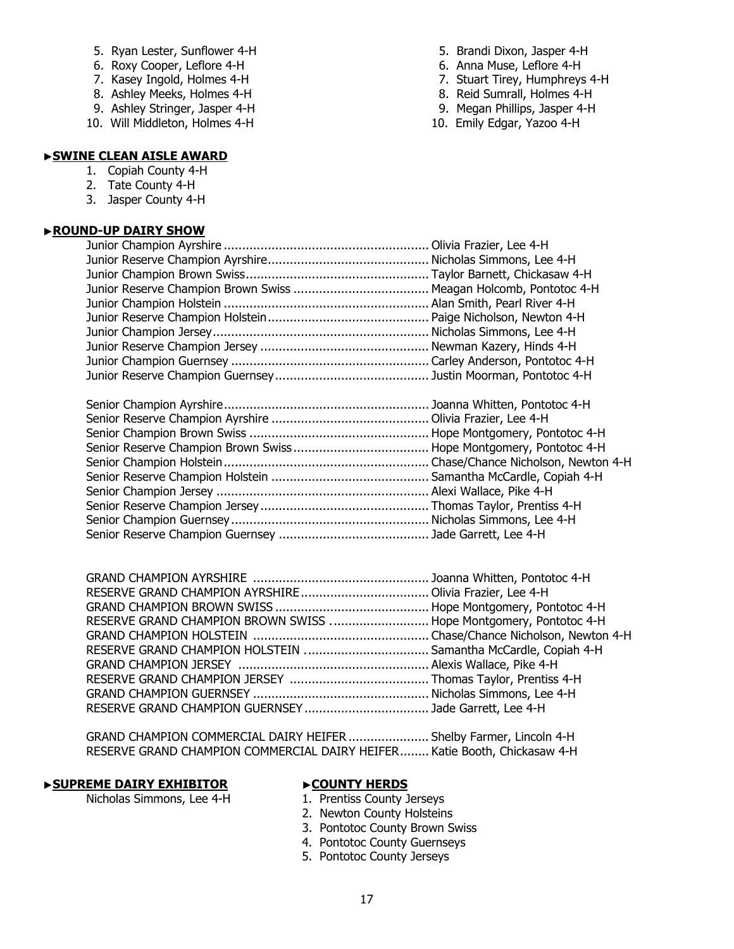- 5. Ryan Lester, Sunflower 4-H 5. Brandi Dixon, Jasper 4-H
- 
- 
- 8. Ashley Meeks, Holmes 4-H
- 9. Ashley Stringer, Jasper 4-H 9. Megan Phillips, Jasper 4-H
- 10. Will Middleton, Holmes 4-H 10. Emily Edgar, Yazoo 4-H
- 
- 6. Roxy Cooper, Leflore 4-H 6. Anna Muse, Leflore 4-H
- 7. Kasey Ingold, Holmes 4-H 7. Stuart Tirey, Humphreys 4-H 7. Stuart Tirey, Humphreys 4-H 8. Ashley Meeks, Holmes 4-H
	-
	-
	-

# ▶**SWINE CLEAN AISLE AWARD**

- 1. Copiah County 4-H
- 2. Tate County 4-H
- 3. Jasper County 4-H

# ▶**ROUND-UP DAIRY SHOW**

| RESERVE GRAND CHAMPION BROWN SWISS  Hope Montgomery, Pontotoc 4-H |  |
|-------------------------------------------------------------------|--|
|                                                                   |  |
|                                                                   |  |
|                                                                   |  |
|                                                                   |  |
|                                                                   |  |
|                                                                   |  |
|                                                                   |  |

 GRAND CHAMPION COMMERCIAL DAIRY HEIFER ...................... Shelby Farmer, Lincoln 4-H RESERVE GRAND CHAMPION COMMERCIAL DAIRY HEIFER........ Katie Booth, Chickasaw 4-H

# **▶ SUPREME DAIRY EXHIBITOR ▶ ▶ COUNTY HERDS**<br>Nicholas Simmons, Lee 4-H 1. Prentiss County Jerseys

Nicholas Simmons, Lee 4-H

- 
- 2. Newton County Holsteins
- 3. Pontotoc County Brown Swiss
- 4. Pontotoc County Guernseys
- 5. Pontotoc County Jerseys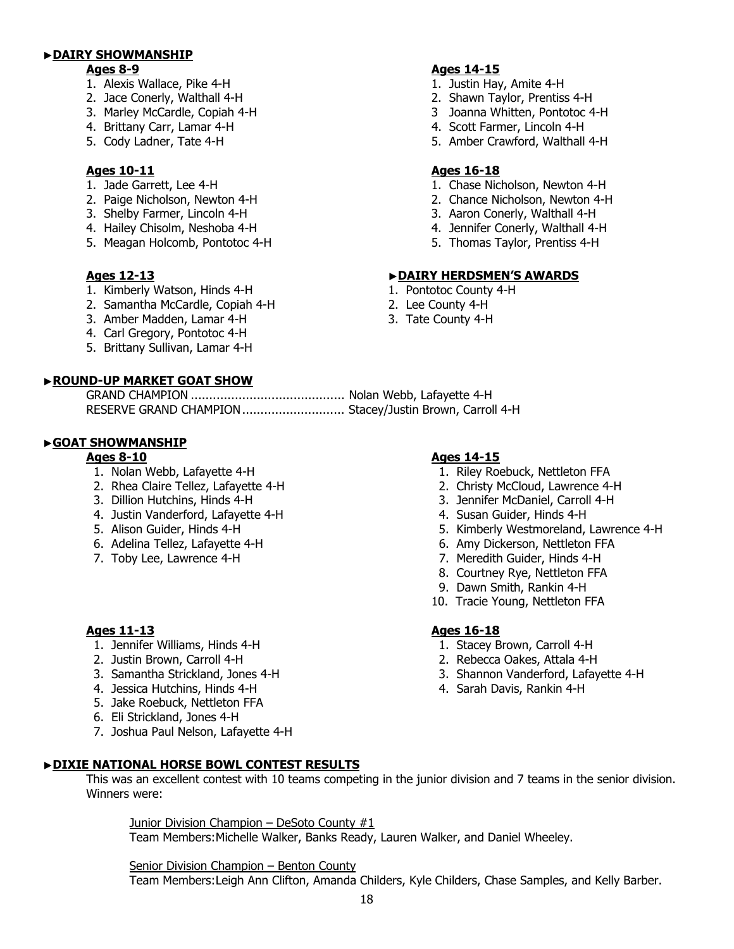# ▶**DAIRY SHOWMANSHIP**

- 1. Alexis Wallace, Pike 4-H 1. Justin Hay, Amite 4-H
- 
- 
- 
- 

# Ages 10-11 **Ages 16-18**

- 
- 
- 3. Shelby Farmer, Lincoln 4-H 3. Aaron Conerly, Walthall 4-H
- 
- 5. Meagan Holcomb, Pontotoc 4-H 5. Thomas Taylor, Prentiss 4-H

- 1. Kimberly Watson, Hinds 4-H
- 2. Samantha McCardle, Copiah 4-H 2. Lee County 4-H
- 3. Amber Madden, Lamar 4-H 3. Tate County 4-H
- 4. Carl Gregory, Pontotoc 4-H
- 5. Brittany Sullivan, Lamar 4-H

# ▶**ROUND-UP MARKET GOAT SHOW**

# GRAND CHAMPION .......................................... Nolan Webb, Lafayette 4-H RESERVE GRAND CHAMPION............................ Stacey/Justin Brown, Carroll 4-H

# ▶**GOAT SHOWMANSHIP**

- 
- 
- 
- 4. Justin Vanderford, Lafayette 4-H 4. Susan Guider, Hinds 4-H
- 
- 
- 

# **Ages 11-13 Ages 16-18**

- 1. Jennifer Williams, Hinds 4-H 1. Stacey Brown, Carroll 4-H
- 
- 
- 4. Jessica Hutchins, Hinds 4-H 4. Sarah Davis, Rankin 4-H
- 5. Jake Roebuck, Nettleton FFA
- 6. Eli Strickland, Jones 4-H
- 7. Joshua Paul Nelson, Lafayette 4-H

# ▶**DIXIE NATIONAL HORSE BOWL CONTEST RESULTS**

This was an excellent contest with 10 teams competing in the junior division and 7 teams in the senior division. Winners were:

Junior Division Champion – DeSoto County #1 Team Members: Michelle Walker, Banks Ready, Lauren Walker, and Daniel Wheeley.

Senior Division Champion – Benton County

Team Members: Leigh Ann Clifton, Amanda Childers, Kyle Childers, Chase Samples, and Kelly Barber.

# **Ages 8-9 Ages 14-15**

- 
- 2. Jace Conerly, Walthall 4-H 2. Shawn Taylor, Prentiss 4-H
- 3. Marley McCardle, Copiah 4-H 3 Joanna Whitten, Pontotoc 4-H
- 4. Brittany Carr, Lamar 4-H 4. All 4. Scott Farmer, Lincoln 4-H
- 5. Cody Ladner, Tate 4-H 5. Amber Crawford, Walthall 4-H

- 1. Jade Garrett, Lee 4-H 1. Chase Nicholson, Newton 4-H
- 2. Paige Nicholson, Newton 4-H 2. Chance Nicholson, Newton 4-H
	-
- 4. Hailey Chisolm, Neshoba 4-H 4. Jennifer Conerly, Walthall 4-H
	-

# **Ages 12-13**<br> **Ages 12-13**<br> **Ages 12-13**<br> **Ages 12-13**<br> **Ages 12-13**<br> **Ages 12-13**<br> **Ages 12-13**<br> **Ages 12-13**<br> **Ages 1.** Pontotoc County 4-H

- 
- 
- 

- **Ages 8-10 Ages 14-15**
- 1. Nolan Webb, Lafayette 4-H 1. Riley Roebuck, Nettleton FFA
- 2. Rhea Claire Tellez, Lafayette 4-H 2. Christy McCloud, Lawrence 4-H
- 3. Dillion Hutchins, Hinds 4-H 3. Jennifer McDaniel, Carroll 4-H
	-
- 5. Alison Guider, Hinds 4-H 6. The state of the state of the state of the S. Kimberly Westmoreland, Lawrence 4-H
- 6. Adelina Tellez, Lafayette 4-H 6. Amy Dickerson, Nettleton FFA
- 7. Toby Lee, Lawrence 4-H 7. Meredith Guider, Hinds 4-H
	- 8. Courtney Rye, Nettleton FFA
	- 9. Dawn Smith, Rankin 4-H
	- 10. Tracie Young, Nettleton FFA

- 
- 2. Justin Brown, Carroll 4-H 2. Rebecca Oakes, Attala 4-H
- 3. Samantha Strickland, Jones 4-H 3. Shannon Vanderford, Lafayette 4-H
	-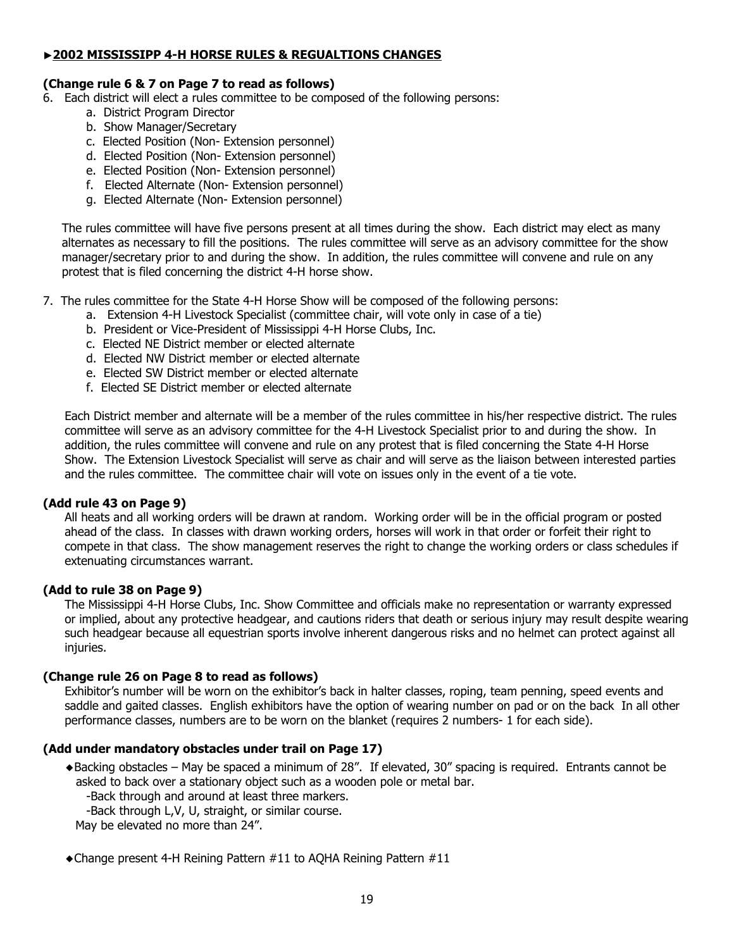# ▶**2002 MISSISSIPP 4-H HORSE RULES & REGUALTIONS CHANGES**

# **(Change rule 6 & 7 on Page 7 to read as follows)**

- 6. Each district will elect a rules committee to be composed of the following persons:
	- a. District Program Director
	- b. Show Manager/Secretary
	- c. Elected Position (Non- Extension personnel)
	- d. Elected Position (Non- Extension personnel)
	- e. Elected Position (Non- Extension personnel)
	- f. Elected Alternate (Non- Extension personnel)
	- g. Elected Alternate (Non- Extension personnel)

 The rules committee will have five persons present at all times during the show. Each district may elect as many alternates as necessary to fill the positions. The rules committee will serve as an advisory committee for the show manager/secretary prior to and during the show. In addition, the rules committee will convene and rule on any protest that is filed concerning the district 4-H horse show.

- 7. The rules committee for the State 4-H Horse Show will be composed of the following persons:
	- a. Extension 4-H Livestock Specialist (committee chair, will vote only in case of a tie)
	- b. President or Vice-President of Mississippi 4-H Horse Clubs, Inc.
	- c. Elected NE District member or elected alternate
	- d. Elected NW District member or elected alternate
	- e. Elected SW District member or elected alternate
	- f. Elected SE District member or elected alternate

Each District member and alternate will be a member of the rules committee in his/her respective district. The rules committee will serve as an advisory committee for the 4-H Livestock Specialist prior to and during the show. In addition, the rules committee will convene and rule on any protest that is filed concerning the State 4-H Horse Show. The Extension Livestock Specialist will serve as chair and will serve as the liaison between interested parties and the rules committee. The committee chair will vote on issues only in the event of a tie vote.

# **(Add rule 43 on Page 9)**

All heats and all working orders will be drawn at random. Working order will be in the official program or posted ahead of the class. In classes with drawn working orders, horses will work in that order or forfeit their right to compete in that class. The show management reserves the right to change the working orders or class schedules if extenuating circumstances warrant.

# **(Add to rule 38 on Page 9)**

 The Mississippi 4-H Horse Clubs, Inc. Show Committee and officials make no representation or warranty expressed or implied, about any protective headgear, and cautions riders that death or serious injury may result despite wearing such headgear because all equestrian sports involve inherent dangerous risks and no helmet can protect against all injuries.

# **(Change rule 26 on Page 8 to read as follows)**

 Exhibitor's number will be worn on the exhibitor's back in halter classes, roping, team penning, speed events and saddle and gaited classes. English exhibitors have the option of wearing number on pad or on the back In all other performance classes, numbers are to be worn on the blanket (requires 2 numbers- 1 for each side).

# **(Add under mandatory obstacles under trail on Page 17)**

- ◆Backing obstacles May be spaced a minimum of 28". If elevated, 30" spacing is required. Entrants cannot be asked to back over a stationary object such as a wooden pole or metal bar.
	- -Back through and around at least three markers.

-Back through L,V, U, straight, or similar course.

May be elevated no more than 24".

◆Change present 4-H Reining Pattern #11 to AQHA Reining Pattern #11